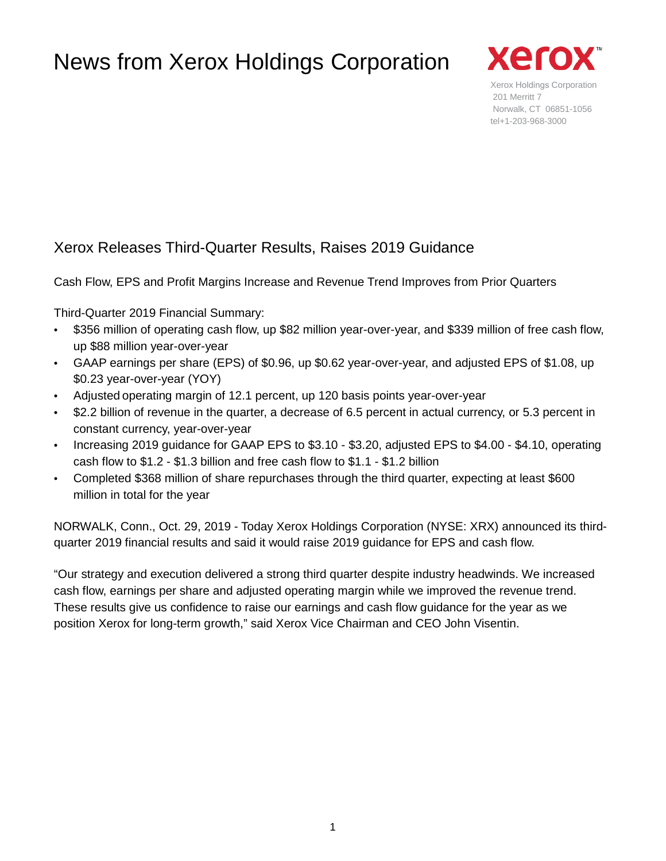# News from Xerox Holdings Corporation



Xerox Holdings Corporation 201 Merritt 7 Norwalk, CT 06851-1056 tel+1-203-968-3000

## Xerox Releases Third-Quarter Results, Raises 2019 Guidance

Cash Flow, EPS and Profit Margins Increase and Revenue Trend Improves from Prior Quarters

Third-Quarter 2019 Financial Summary:

- \$356 million of operating cash flow, up \$82 million year-over-year, and \$339 million of free cash flow, up \$88 million year-over-year
- GAAP earnings per share (EPS) of \$0.96, up \$0.62 year-over-year, and adjusted EPS of \$1.08, up \$0.23 year-over-year (YOY)
- Adjusted operating margin of 12.1 percent, up 120 basis points year-over-year
- \$2.2 billion of revenue in the quarter, a decrease of 6.5 percent in actual currency, or 5.3 percent in constant currency, year-over-year
- Increasing 2019 guidance for GAAP EPS to \$3.10 \$3.20, adjusted EPS to \$4.00 \$4.10, operating cash flow to \$1.2 - \$1.3 billion and free cash flow to \$1.1 - \$1.2 billion
- Completed \$368 million of share repurchases through the third quarter, expecting at least \$600 million in total for the year

NORWALK, Conn., Oct. 29, 2019 - Today Xerox Holdings Corporation (NYSE: XRX) announced its thirdquarter 2019 financial results and said it would raise 2019 guidance for EPS and cash flow.

"Our strategy and execution delivered a strong third quarter despite industry headwinds. We increased cash flow, earnings per share and adjusted operating margin while we improved the revenue trend. These results give us confidence to raise our earnings and cash flow guidance for the year as we position Xerox for long-term growth," said Xerox Vice Chairman and CEO John Visentin.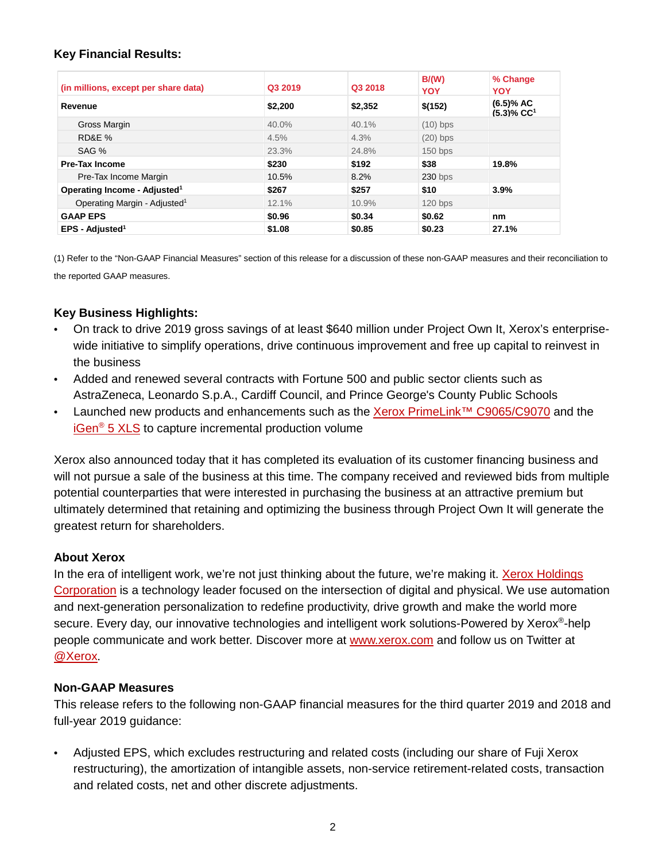### **Key Financial Results:**

| (in millions, except per share data)     | Q3 2019  | Q3 2018 | B/(W)<br>YOY | % Change<br>YOY                           |
|------------------------------------------|----------|---------|--------------|-------------------------------------------|
| Revenue                                  | \$2,200  | \$2,352 | \$(152)      | $(6.5)$ % AC<br>$(5.3)$ % CC <sup>1</sup> |
| Gross Margin                             | $40.0\%$ | 40.1%   | $(10)$ bps   |                                           |
| RD&E %                                   | 4.5%     | 4.3%    | $(20)$ bps   |                                           |
| SAG %                                    | 23.3%    | 24.8%   | $150$ bps    |                                           |
| <b>Pre-Tax Income</b>                    | \$230    | \$192   | \$38         | 19.8%                                     |
| Pre-Tax Income Margin                    | 10.5%    | 8.2%    | $230$ bps    |                                           |
| Operating Income - Adjusted <sup>1</sup> | \$267    | \$257   | \$10         | 3.9%                                      |
| Operating Margin - Adjusted <sup>1</sup> | 12.1%    | 10.9%   | 120 bps      |                                           |
| <b>GAAP EPS</b>                          | \$0.96   | \$0.34  | \$0.62       | nm                                        |
| EPS - Adjusted <sup>1</sup>              | \$1.08   | \$0.85  | \$0.23       | 27.1%                                     |

(1) Refer to the "Non-GAAP Financial Measures" section of this release for a discussion of these non-GAAP measures and their reconciliation to the reported GAAP measures.

### **Key Business Highlights:**

- On track to drive 2019 gross savings of at least \$640 million under Project Own It, Xerox's enterprisewide initiative to simplify operations, drive continuous improvement and free up capital to reinvest in the business
- Added and renewed several contracts with Fortune 500 and public sector clients such as AstraZeneca, Leonardo S.p.A., Cardiff Council, and Prince George's County Public Schools
- Launched new products and enhancements such as the [Xerox PrimeLink™ C9065/C9070](https://www.xerox.com/en-us/digital-printing/insights/professional-color-printer) and the [iGen®](https://www.xerox.com/en-us/digital-printing/xerox-igen5/extra-long-paper) 5 XLS to capture incremental production volume

Xerox also announced today that it has completed its evaluation of its customer financing business and will not pursue a sale of the business at this time. The company received and reviewed bids from multiple potential counterparties that were interested in purchasing the business at an attractive premium but ultimately determined that retaining and optimizing the business through Project Own It will generate the greatest return for shareholders.

### **About Xerox**

In the era of intelligent work, we're not just thinking about the future, we're making it. Xerox Holdings [Corporation](https://www.xerox.com/) is a technology leader focused on the intersection of digital and physical. We use automation and next-generation personalization to redefine productivity, drive growth and make the world more secure. Every day, our innovative technologies and intelligent work solutions-Powered by Xerox<sup>®</sup>-help people communicate and work better. Discover more at [www.xerox.com](https://www.xerox.com/) and follow us on Twitter at [@Xerox](https://twitter.com/Xerox).

### **Non-GAAP Measures**

This release refers to the following non-GAAP financial measures for the third quarter 2019 and 2018 and full-year 2019 guidance:

• Adjusted EPS, which excludes restructuring and related costs (including our share of Fuji Xerox restructuring), the amortization of intangible assets, non-service retirement-related costs, transaction and related costs, net and other discrete adjustments.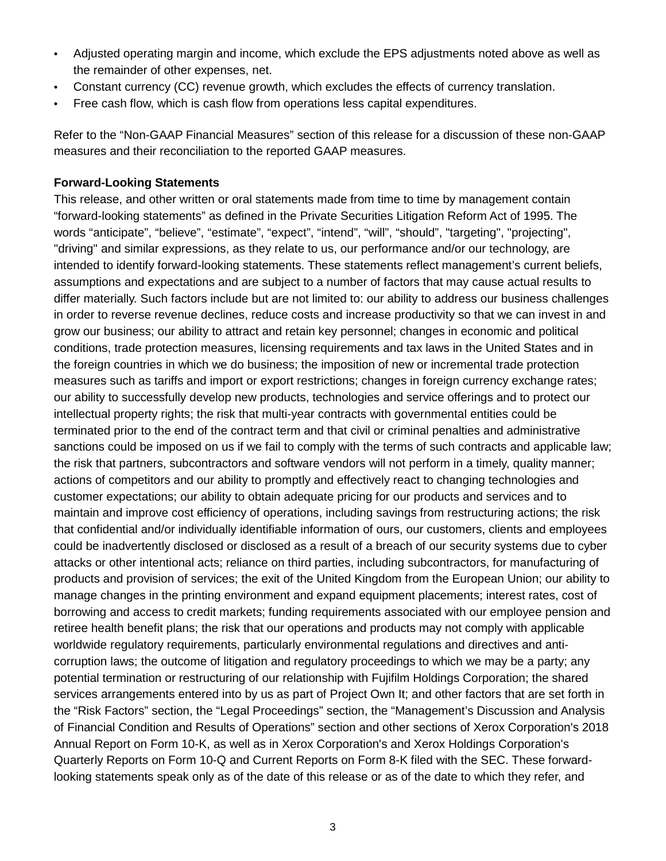- Adjusted operating margin and income, which exclude the EPS adjustments noted above as well as the remainder of other expenses, net.
- Constant currency (CC) revenue growth, which excludes the effects of currency translation.
- Free cash flow, which is cash flow from operations less capital expenditures.

Refer to the "Non-GAAP Financial Measures" section of this release for a discussion of these non-GAAP measures and their reconciliation to the reported GAAP measures.

### **Forward-Looking Statements**

This release, and other written or oral statements made from time to time by management contain "forward-looking statements" as defined in the Private Securities Litigation Reform Act of 1995. The words "anticipate", "believe", "estimate", "expect", "intend", "will", "should", "targeting", "projecting", "driving" and similar expressions, as they relate to us, our performance and/or our technology, are intended to identify forward-looking statements. These statements reflect management's current beliefs, assumptions and expectations and are subject to a number of factors that may cause actual results to differ materially. Such factors include but are not limited to: our ability to address our business challenges in order to reverse revenue declines, reduce costs and increase productivity so that we can invest in and grow our business; our ability to attract and retain key personnel; changes in economic and political conditions, trade protection measures, licensing requirements and tax laws in the United States and in the foreign countries in which we do business; the imposition of new or incremental trade protection measures such as tariffs and import or export restrictions; changes in foreign currency exchange rates; our ability to successfully develop new products, technologies and service offerings and to protect our intellectual property rights; the risk that multi-year contracts with governmental entities could be terminated prior to the end of the contract term and that civil or criminal penalties and administrative sanctions could be imposed on us if we fail to comply with the terms of such contracts and applicable law; the risk that partners, subcontractors and software vendors will not perform in a timely, quality manner; actions of competitors and our ability to promptly and effectively react to changing technologies and customer expectations; our ability to obtain adequate pricing for our products and services and to maintain and improve cost efficiency of operations, including savings from restructuring actions; the risk that confidential and/or individually identifiable information of ours, our customers, clients and employees could be inadvertently disclosed or disclosed as a result of a breach of our security systems due to cyber attacks or other intentional acts; reliance on third parties, including subcontractors, for manufacturing of products and provision of services; the exit of the United Kingdom from the European Union; our ability to manage changes in the printing environment and expand equipment placements; interest rates, cost of borrowing and access to credit markets; funding requirements associated with our employee pension and retiree health benefit plans; the risk that our operations and products may not comply with applicable worldwide regulatory requirements, particularly environmental regulations and directives and anticorruption laws; the outcome of litigation and regulatory proceedings to which we may be a party; any potential termination or restructuring of our relationship with Fujifilm Holdings Corporation; the shared services arrangements entered into by us as part of Project Own It; and other factors that are set forth in the "Risk Factors" section, the "Legal Proceedings" section, the "Management's Discussion and Analysis of Financial Condition and Results of Operations" section and other sections of Xerox Corporation's 2018 Annual Report on Form 10-K, as well as in Xerox Corporation's and Xerox Holdings Corporation's Quarterly Reports on Form 10-Q and Current Reports on Form 8-K filed with the SEC. These forwardlooking statements speak only as of the date of this release or as of the date to which they refer, and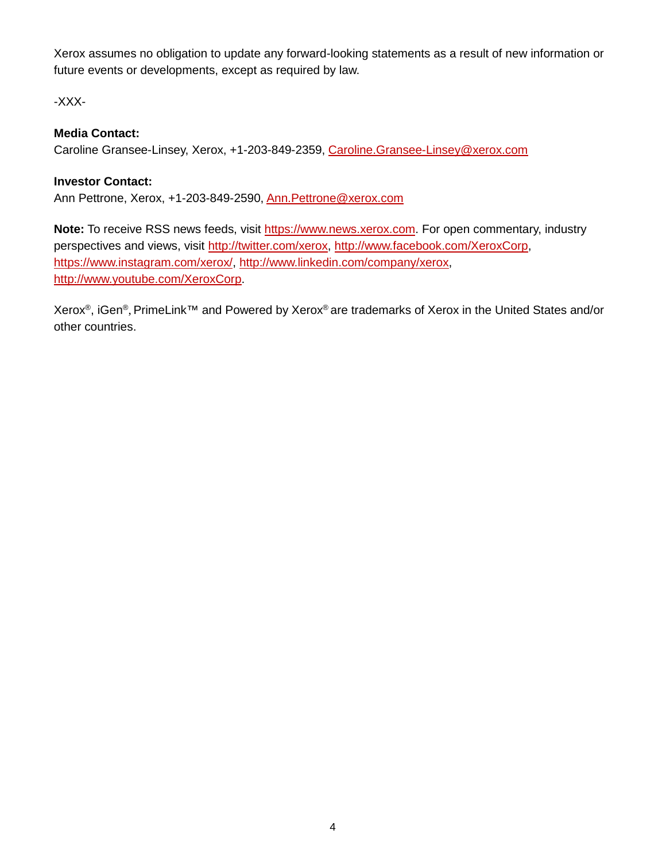Xerox assumes no obligation to update any forward-looking statements as a result of new information or future events or developments, except as required by law.

-XXX-

### **Media Contact:**

Caroline Gransee-Linsey, Xerox, +1-203-849-2359, [Caroline.Gransee-Linsey@xerox.com](mailto:Caroline.Gransee-Linsey@xerox.com)

### **Investor Contact:**

Ann Pettrone, Xerox, +1-203-849-2590, Ann. Pettrone@xerox.com

**Note:** To receive RSS news feeds, visit [https://www.news.xerox.com.](https://www.news.xerox.com/) For open commentary, industry perspectives and views, visit [http://twitter.com/xerox,](http://twitter.com/xerox) [http://www.facebook.com/XeroxCorp,](http://www.facebook.com/XeroxCorp) [https://www.instagram.com/xerox/,](https://www.instagram.com/xerox/) [http://www.linkedin.com/company/xerox,](http://www.linkedin.com/company/xerox) [http://www.youtube.com/XeroxCorp.](http://www.youtube.com/XeroxCorp)

Xerox<sup>®</sup>, iGen<sup>®</sup>, PrimeLink<sup>™</sup> and Powered by Xerox<sup>®</sup> are trademarks of Xerox in the United States and/or other countries.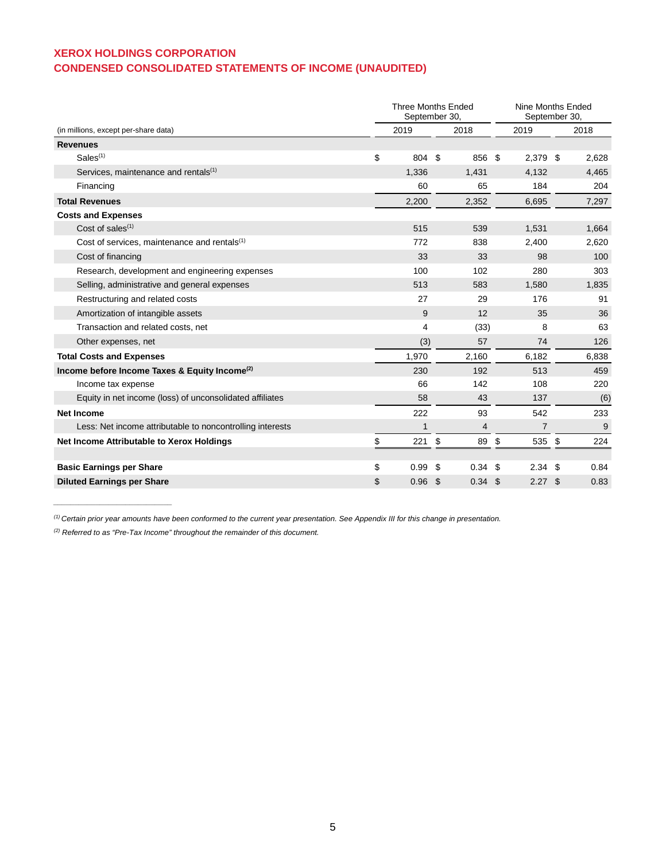### **XEROX HOLDINGS CORPORATION CONDENSED CONSOLIDATED STATEMENTS OF INCOME (UNAUDITED)**

|                                                           | <b>Three Months Ended</b><br>September 30, |    |           | Nine Months Ended<br>September 30, |                |    |       |  |
|-----------------------------------------------------------|--------------------------------------------|----|-----------|------------------------------------|----------------|----|-------|--|
| (in millions, except per-share data)                      | 2019                                       |    | 2018      |                                    | 2019           |    | 2018  |  |
| <b>Revenues</b>                                           |                                            |    |           |                                    |                |    |       |  |
| Sales <sup>(1)</sup>                                      | \$<br>804 \$                               |    | 856       | - \$                               | 2,379 \$       |    | 2,628 |  |
| Services, maintenance and rentals <sup>(1)</sup>          | 1,336                                      |    | 1,431     |                                    | 4,132          |    | 4,465 |  |
| Financing                                                 | 60                                         |    | 65        |                                    | 184            |    | 204   |  |
| <b>Total Revenues</b>                                     | 2,200                                      |    | 2,352     |                                    | 6,695          |    | 7,297 |  |
| <b>Costs and Expenses</b>                                 |                                            |    |           |                                    |                |    |       |  |
| Cost of sales $(1)$                                       | 515                                        |    | 539       |                                    | 1,531          |    | 1,664 |  |
| Cost of services, maintenance and rentals <sup>(1)</sup>  | 772                                        |    | 838       |                                    | 2,400          |    | 2,620 |  |
| Cost of financing                                         | 33                                         |    | 33        |                                    | 98             |    | 100   |  |
| Research, development and engineering expenses            | 100                                        |    | 102       |                                    | 280            |    | 303   |  |
| Selling, administrative and general expenses              | 513                                        |    | 583       |                                    | 1,580          |    | 1,835 |  |
| Restructuring and related costs                           | 27                                         |    | 29        |                                    | 176            |    | 91    |  |
| Amortization of intangible assets                         | 9                                          |    | 12        |                                    | 35             |    | 36    |  |
| Transaction and related costs, net                        | 4                                          |    | (33)      |                                    | 8              |    | 63    |  |
| Other expenses, net                                       | (3)                                        |    | 57        |                                    | 74             |    | 126   |  |
| <b>Total Costs and Expenses</b>                           | 1,970                                      |    | 2,160     |                                    | 6,182          |    | 6,838 |  |
| Income before Income Taxes & Equity Income <sup>(2)</sup> | 230                                        |    | 192       |                                    | 513            |    | 459   |  |
| Income tax expense                                        | 66                                         |    | 142       |                                    | 108            |    | 220   |  |
| Equity in net income (loss) of unconsolidated affiliates  | 58                                         |    | 43        |                                    | 137            |    | (6)   |  |
| <b>Net Income</b>                                         | 222                                        |    | 93        |                                    | 542            |    | 233   |  |
| Less: Net income attributable to noncontrolling interests | $\mathbf 1$                                |    | 4         |                                    | $\overline{7}$ |    | 9     |  |
| Net Income Attributable to Xerox Holdings                 | \$<br>221                                  | \$ | 89 \$     |                                    | 535 \$         |    | 224   |  |
|                                                           |                                            |    |           |                                    |                |    |       |  |
| <b>Basic Earnings per Share</b>                           | \$<br>0.99                                 | \$ | $0.34$ \$ |                                    | $2.34$ \$      |    | 0.84  |  |
| <b>Diluted Earnings per Share</b>                         | \$<br>0.96                                 | \$ | $0.34$ \$ |                                    | 2.27           | \$ | 0.83  |  |

*(1) Certain prior year amounts have been conformed to the current year presentation. See Appendix III for this change in presentation.*

*(2) Referred to as "Pre-Tax Income" throughout the remainder of this document.*

*\_\_\_\_\_\_\_\_\_\_\_\_\_\_\_\_\_\_\_\_\_\_\_\_\_\_\_\_*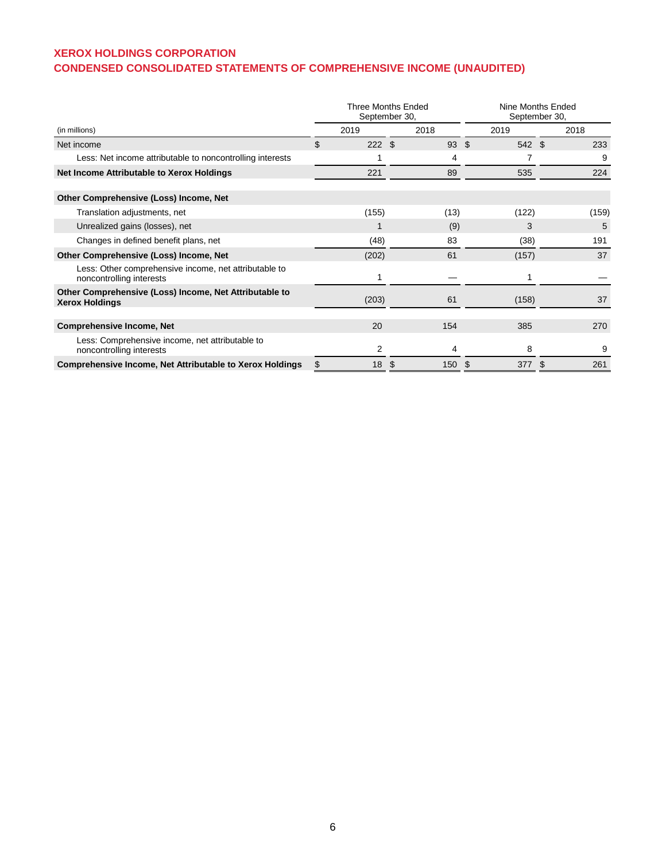### **XEROX HOLDINGS CORPORATION CONDENSED CONSOLIDATED STATEMENTS OF COMPREHENSIVE INCOME (UNAUDITED)**

|                                                                                   | Three Months Ended<br>September 30, |       |    |                  |    | Nine Months Ended<br>September 30, |    |       |  |
|-----------------------------------------------------------------------------------|-------------------------------------|-------|----|------------------|----|------------------------------------|----|-------|--|
| (in millions)                                                                     |                                     | 2019  |    | 2018             |    | 2019                               |    | 2018  |  |
| Net income                                                                        | \$                                  | 222S  |    | $93 \text{ } $$  |    | 542 \$                             |    | 233   |  |
| Less: Net income attributable to noncontrolling interests                         |                                     |       |    | 4                |    |                                    |    | 9     |  |
| <b>Net Income Attributable to Xerox Holdings</b>                                  |                                     | 221   |    | 89               |    | 535                                |    | 224   |  |
| Other Comprehensive (Loss) Income, Net                                            |                                     |       |    |                  |    |                                    |    |       |  |
| Translation adjustments, net                                                      |                                     | (155) |    | (13)             |    | (122)                              |    | (159) |  |
| Unrealized gains (losses), net                                                    |                                     |       |    | (9)              |    | 3                                  |    | 5     |  |
| Changes in defined benefit plans, net                                             |                                     | (48)  |    | 83               |    | (38)                               |    | 191   |  |
| Other Comprehensive (Loss) Income, Net                                            |                                     | (202) |    | 61               |    | (157)                              |    | 37    |  |
| Less: Other comprehensive income, net attributable to<br>noncontrolling interests |                                     |       |    |                  |    |                                    |    |       |  |
| Other Comprehensive (Loss) Income, Net Attributable to<br><b>Xerox Holdings</b>   |                                     | (203) |    | 61               |    | (158)                              |    | 37    |  |
| <b>Comprehensive Income, Net</b>                                                  |                                     | 20    |    | 154              |    | 385                                |    | 270   |  |
| Less: Comprehensive income, net attributable to<br>noncontrolling interests       |                                     | 2     |    | 4                |    | 8                                  |    | 9     |  |
| <b>Comprehensive Income, Net Attributable to Xerox Holdings</b>                   | \$                                  | 18    | \$ | 150 <sub>1</sub> | \$ | 377                                | \$ | 261   |  |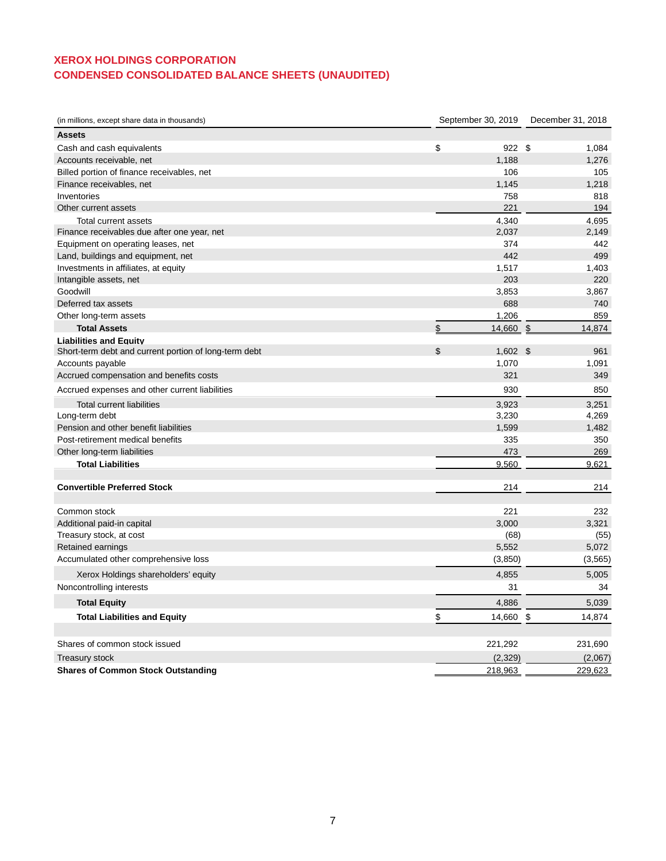### **XEROX HOLDINGS CORPORATION CONDENSED CONSOLIDATED BALANCE SHEETS (UNAUDITED)**

| (in millions, except share data in thousands)                                          |         | September 30, 2019 |    |                |
|----------------------------------------------------------------------------------------|---------|--------------------|----|----------------|
| <b>Assets</b>                                                                          |         |                    |    |                |
| Cash and cash equivalents                                                              | \$      | 922 \$             |    | 1,084          |
| Accounts receivable, net                                                               |         | 1,188              |    | 1,276          |
| Billed portion of finance receivables, net                                             |         | 106                |    | 105            |
| Finance receivables, net                                                               |         | 1,145              |    | 1,218          |
| Inventories                                                                            |         | 758                |    | 818            |
| Other current assets                                                                   |         | 221                |    | 194            |
| <b>Total current assets</b>                                                            |         | 4,340              |    | 4.695          |
| Finance receivables due after one year, net                                            |         | 2,037              |    | 2,149          |
| Equipment on operating leases, net                                                     |         | 374                |    | 442            |
| Land, buildings and equipment, net                                                     |         | 442                |    | 499            |
| Investments in affiliates, at equity                                                   |         | 1,517              |    | 1,403          |
| Intangible assets, net                                                                 |         | 203                |    | 220            |
| Goodwill                                                                               |         | 3,853              |    | 3,867          |
| Deferred tax assets                                                                    |         | 688                |    | 740            |
| Other long-term assets                                                                 |         | 1,206              |    | 859            |
| <b>Total Assets</b>                                                                    | \$      | 14,660             | \$ | 14,874         |
| <b>Liabilities and Equity</b><br>Short-term debt and current portion of long-term debt | \$      | $1,602$ \$         |    | 961            |
| Accounts payable                                                                       |         | 1,070              |    | 1,091          |
| Accrued compensation and benefits costs                                                |         | 321                |    | 349            |
| Accrued expenses and other current liabilities                                         |         | 930                |    | 850            |
|                                                                                        |         |                    |    |                |
| <b>Total current liabilities</b><br>Long-term debt                                     |         | 3,923<br>3,230     |    | 3,251<br>4,269 |
| Pension and other benefit liabilities                                                  |         | 1,599              |    | 1,482          |
| Post-retirement medical benefits                                                       |         | 335                |    | 350            |
| Other long-term liabilities                                                            |         | 473                |    | 269            |
| <b>Total Liabilities</b>                                                               |         | 9,560              |    | 9,621          |
|                                                                                        |         |                    |    |                |
| <b>Convertible Preferred Stock</b>                                                     |         | 214                |    | 214            |
|                                                                                        |         |                    |    |                |
| Common stock                                                                           |         | 221                |    | 232            |
| Additional paid-in capital                                                             |         | 3,000              |    | 3,321          |
| Treasury stock, at cost                                                                |         | (68)               |    | (55)           |
| Retained earnings                                                                      |         | 5,552              |    | 5,072          |
| Accumulated other comprehensive loss                                                   |         | (3, 850)           |    | (3, 565)       |
| Xerox Holdings shareholders' equity                                                    |         | 4,855              |    | 5,005          |
| Noncontrolling interests                                                               |         | 31                 |    | 34             |
| <b>Total Equity</b>                                                                    |         | 4,886              |    | 5,039          |
| <b>Total Liabilities and Equity</b>                                                    | \$      | 14,660             | \$ | 14,874         |
|                                                                                        |         |                    |    |                |
| Shares of common stock issued                                                          | 221,292 |                    |    | 231,690        |
| <b>Treasury stock</b>                                                                  |         | (2,329)            |    | (2,067)        |
| <b>Shares of Common Stock Outstanding</b>                                              | 218,963 |                    |    | 229,623        |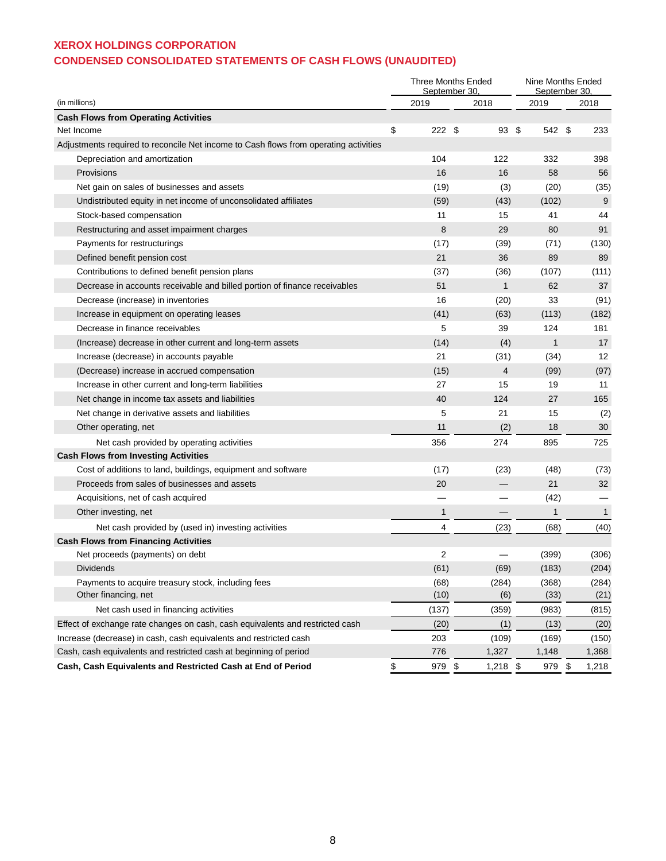### **XEROX HOLDINGS CORPORATION CONDENSED CONSOLIDATED STATEMENTS OF CASH FLOWS (UNAUDITED)**

|                                                                                      | <b>Three Months Ended</b><br>September 30 |          |  |                | Nine Months Ended<br>September 30. |              |  |              |  |
|--------------------------------------------------------------------------------------|-------------------------------------------|----------|--|----------------|------------------------------------|--------------|--|--------------|--|
| (in millions)                                                                        |                                           | 2019     |  | 2018           |                                    | 2019         |  | 2018         |  |
| <b>Cash Flows from Operating Activities</b>                                          |                                           |          |  |                |                                    |              |  |              |  |
| Net Income                                                                           | \$                                        | $222$ \$ |  | 93 \$          |                                    | 542 \$       |  | 233          |  |
| Adjustments required to reconcile Net income to Cash flows from operating activities |                                           |          |  |                |                                    |              |  |              |  |
| Depreciation and amortization                                                        |                                           | 104      |  | 122            |                                    | 332          |  | 398          |  |
| Provisions                                                                           |                                           | 16       |  | 16             |                                    | 58           |  | 56           |  |
| Net gain on sales of businesses and assets                                           |                                           | (19)     |  | (3)            |                                    | (20)         |  | (35)         |  |
| Undistributed equity in net income of unconsolidated affiliates                      |                                           | (59)     |  | (43)           |                                    | (102)        |  | 9            |  |
| Stock-based compensation                                                             |                                           | 11       |  | 15             |                                    | 41           |  | 44           |  |
| Restructuring and asset impairment charges                                           |                                           | 8        |  | 29             |                                    | 80           |  | 91           |  |
| Payments for restructurings                                                          |                                           | (17)     |  | (39)           |                                    | (71)         |  | (130)        |  |
| Defined benefit pension cost                                                         |                                           | 21       |  | 36             |                                    | 89           |  | 89           |  |
| Contributions to defined benefit pension plans                                       |                                           | (37)     |  | (36)           |                                    | (107)        |  | (111)        |  |
| Decrease in accounts receivable and billed portion of finance receivables            |                                           | 51       |  | $\mathbf{1}$   |                                    | 62           |  | 37           |  |
| Decrease (increase) in inventories                                                   |                                           | 16       |  | (20)           |                                    | 33           |  | (91)         |  |
| Increase in equipment on operating leases                                            |                                           | (41)     |  | (63)           |                                    | (113)        |  | (182)        |  |
| Decrease in finance receivables                                                      |                                           | 5        |  | 39             |                                    | 124          |  | 181          |  |
| (Increase) decrease in other current and long-term assets                            |                                           | (14)     |  | (4)            |                                    | $\mathbf{1}$ |  | 17           |  |
| Increase (decrease) in accounts payable                                              |                                           | 21       |  | (31)           |                                    | (34)         |  | 12           |  |
| (Decrease) increase in accrued compensation                                          |                                           | (15)     |  | $\overline{4}$ |                                    | (99)         |  | (97)         |  |
| Increase in other current and long-term liabilities                                  |                                           | 27       |  | 15             |                                    | 19           |  | 11           |  |
| Net change in income tax assets and liabilities                                      |                                           | 40       |  | 124            |                                    | 27           |  | 165          |  |
| Net change in derivative assets and liabilities                                      |                                           | 5        |  | 21             |                                    | 15           |  | (2)          |  |
| Other operating, net                                                                 |                                           | 11       |  | (2)            |                                    | 18           |  | 30           |  |
| Net cash provided by operating activities                                            |                                           | 356      |  | 274            |                                    | 895          |  | 725          |  |
| <b>Cash Flows from Investing Activities</b>                                          |                                           |          |  |                |                                    |              |  |              |  |
| Cost of additions to land, buildings, equipment and software                         |                                           | (17)     |  | (23)           |                                    | (48)         |  | (73)         |  |
| Proceeds from sales of businesses and assets                                         |                                           | 20       |  |                |                                    | 21           |  | 32           |  |
| Acquisitions, net of cash acquired                                                   |                                           |          |  |                |                                    | (42)         |  |              |  |
| Other investing, net                                                                 |                                           | 1        |  |                |                                    | $\mathbf{1}$ |  | $\mathbf{1}$ |  |
| Net cash provided by (used in) investing activities                                  |                                           | 4        |  | (23)           |                                    | (68)         |  | (40)         |  |
| <b>Cash Flows from Financing Activities</b>                                          |                                           |          |  |                |                                    |              |  |              |  |
| Net proceeds (payments) on debt                                                      |                                           | 2        |  |                |                                    | (399)        |  | (306)        |  |
| <b>Dividends</b>                                                                     |                                           | (61)     |  | (69)           |                                    | (183)        |  | (204)        |  |
| Payments to acquire treasury stock, including fees                                   |                                           | (68)     |  | (284)          |                                    | (368)        |  | (284)        |  |
| Other financing, net                                                                 |                                           | (10)     |  | (6)            |                                    | (33)         |  | (21)         |  |
| Net cash used in financing activities                                                |                                           | (137)    |  | (359)          |                                    | (983)        |  | (815)        |  |
| Effect of exchange rate changes on cash, cash equivalents and restricted cash        |                                           | (20)     |  | (1)            |                                    | (13)         |  | (20)         |  |
| Increase (decrease) in cash, cash equivalents and restricted cash                    |                                           | 203      |  | (109)          |                                    | (169)        |  | (150)        |  |
| Cash, cash equivalents and restricted cash at beginning of period                    |                                           | 776      |  | 1,327          |                                    | 1,148        |  | 1,368        |  |
| Cash, Cash Equivalents and Restricted Cash at End of Period                          | \$                                        | 979 \$   |  | 1,218 \$       |                                    | 979 \$       |  | 1,218        |  |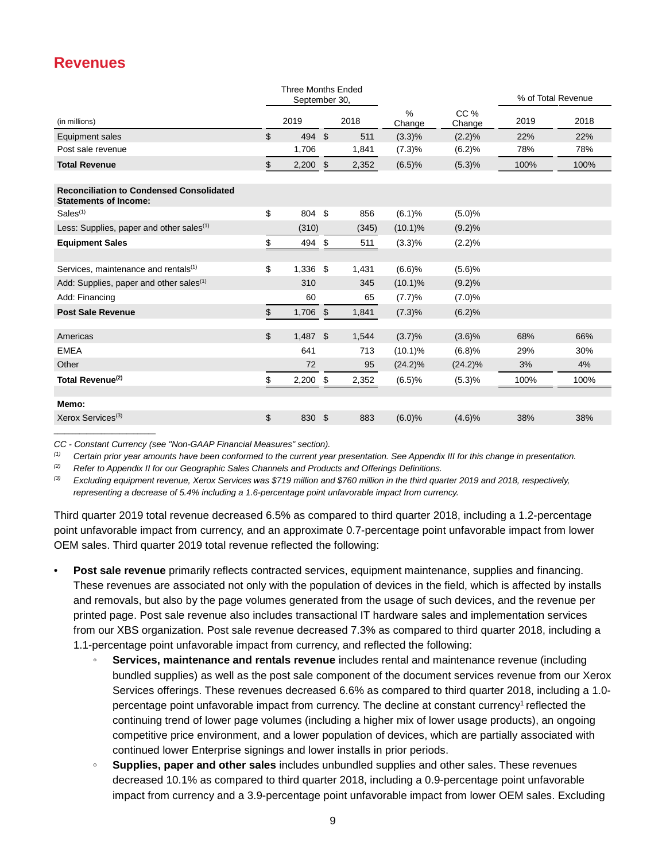## **Revenues**

|                                                                                 | <b>Three Months Ended</b><br>September 30, |                           |       |             |                |      | % of Total Revenue |
|---------------------------------------------------------------------------------|--------------------------------------------|---------------------------|-------|-------------|----------------|------|--------------------|
| (in millions)                                                                   | 2019                                       |                           | 2018  | %<br>Change | CC %<br>Change | 2019 | 2018               |
| Equipment sales                                                                 | \$<br>494 \$                               |                           | 511   | $(3.3)\%$   | $(2.2)\%$      | 22%  | 22%                |
| Post sale revenue                                                               | 1,706                                      |                           | 1,841 | (7.3)%      | (6.2)%         | 78%  | 78%                |
| <b>Total Revenue</b>                                                            | \$<br>$2,200$ \$                           |                           | 2,352 | (6.5)%      | (5.3)%         | 100% | 100%               |
| <b>Reconciliation to Condensed Consolidated</b><br><b>Statements of Income:</b> |                                            |                           |       |             |                |      |                    |
| Sales <sup>(1)</sup>                                                            | \$<br>804 \$                               |                           | 856   | (6.1)%      | (5.0)%         |      |                    |
| Less: Supplies, paper and other sales <sup>(1)</sup>                            | (310)                                      |                           | (345) | $(10.1)\%$  | (9.2)%         |      |                    |
| <b>Equipment Sales</b>                                                          | \$<br>494 \$                               |                           | 511   | $(3.3)\%$   | $(2.2)\%$      |      |                    |
|                                                                                 |                                            |                           |       |             |                |      |                    |
| Services, maintenance and rentals(1)                                            | \$<br>1,336                                | \$                        | 1,431 | (6.6)%      | (5.6)%         |      |                    |
| Add: Supplies, paper and other sales <sup>(1)</sup>                             | 310                                        |                           | 345   | $(10.1)\%$  | (9.2)%         |      |                    |
| Add: Financing                                                                  | 60                                         |                           | 65    | (7.7)%      | (7.0)%         |      |                    |
| <b>Post Sale Revenue</b>                                                        | \$<br>1,706                                | $\boldsymbol{\mathsf{S}}$ | 1,841 | (7.3)%      | (6.2)%         |      |                    |
| Americas                                                                        | \$<br>$1,487$ \$                           |                           | 1,544 | $(3.7)\%$   | $(3.6)\%$      | 68%  | 66%                |
| <b>EMEA</b>                                                                     | 641                                        |                           | 713   | $(10.1)\%$  | (6.8)%         | 29%  | 30%                |
| Other                                                                           | 72                                         |                           | 95    | $(24.2)\%$  | $(24.2)\%$     | 3%   | 4%                 |
| Total Revenue <sup>(2)</sup>                                                    | \$<br>$2,200$ \$                           |                           | 2,352 | (6.5)%      | (5.3)%         | 100% | 100%               |
| Memo:                                                                           |                                            |                           |       |             |                |      |                    |
| Xerox Services <sup>(3)</sup>                                                   | \$<br>830 \$                               |                           | 883   | (6.0)%      | (4.6)%         | 38%  | 38%                |
|                                                                                 |                                            |                           |       |             |                |      |                    |

*CC - Constant Currency (see "Non-GAAP Financial Measures" section).*

*(1) Certain prior year amounts have been conformed to the current year presentation. See Appendix III for this change in presentation.*

*(2) Refer to Appendix II for our Geographic Sales Channels and Products and Offerings Definitions.*

*(3) Excluding equipment revenue, Xerox Services was \$719 million and \$760 million in the third quarter 2019 and 2018, respectively, representing a decrease of 5.4% including a 1.6-percentage point unfavorable impact from currency.*

Third quarter 2019 total revenue decreased 6.5% as compared to third quarter 2018, including a 1.2-percentage point unfavorable impact from currency, and an approximate 0.7-percentage point unfavorable impact from lower OEM sales. Third quarter 2019 total revenue reflected the following:

- **Post sale revenue** primarily reflects contracted services, equipment maintenance, supplies and financing. These revenues are associated not only with the population of devices in the field, which is affected by installs and removals, but also by the page volumes generated from the usage of such devices, and the revenue per printed page. Post sale revenue also includes transactional IT hardware sales and implementation services from our XBS organization. Post sale revenue decreased 7.3% as compared to third quarter 2018, including a 1.1-percentage point unfavorable impact from currency, and reflected the following:
	- **Services, maintenance and rentals revenue** includes rental and maintenance revenue (including bundled supplies) as well as the post sale component of the document services revenue from our Xerox Services offerings. These revenues decreased 6.6% as compared to third quarter 2018, including a 1.0 percentage point unfavorable impact from currency. The decline at constant currency<sup>1</sup> reflected the continuing trend of lower page volumes (including a higher mix of lower usage products), an ongoing competitive price environment, and a lower population of devices, which are partially associated with continued lower Enterprise signings and lower installs in prior periods.
	- **Supplies, paper and other sales** includes unbundled supplies and other sales. These revenues decreased 10.1% as compared to third quarter 2018, including a 0.9-percentage point unfavorable impact from currency and a 3.9-percentage point unfavorable impact from lower OEM sales. Excluding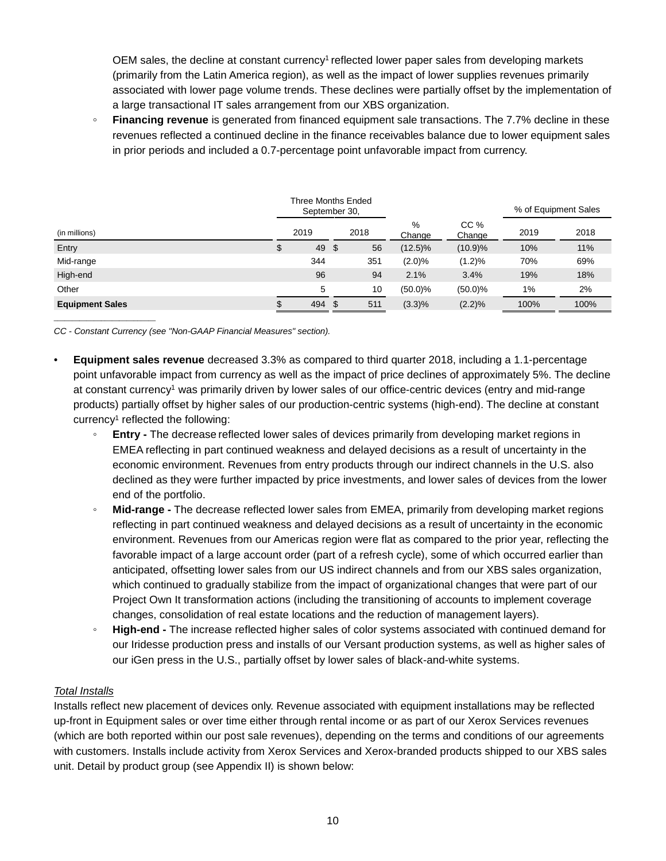OEM sales, the decline at constant currency<sup>1</sup> reflected lower paper sales from developing markets (primarily from the Latin America region), as well as the impact of lower supplies revenues primarily associated with lower page volume trends. These declines were partially offset by the implementation of a large transactional IT sales arrangement from our XBS organization.

**◦ Financing revenue** is generated from financed equipment sale transactions. The 7.7% decline in these revenues reflected a continued decline in the finance receivables balance due to lower equipment sales in prior periods and included a 0.7-percentage point unfavorable impact from currency.

| Three Months Ended<br>September 30, |    |       |      |      |             | % of Equipment Sales      |      |      |  |
|-------------------------------------|----|-------|------|------|-------------|---------------------------|------|------|--|
| (in millions)                       |    | 2019  |      | 2018 | %<br>Change | CC <sub>%</sub><br>Change | 2019 | 2018 |  |
| Entry                               | \$ | 49 \$ |      | 56   | $(12.5)\%$  | $(10.9)\%$                | 10%  | 11%  |  |
| Mid-range                           |    | 344   |      | 351  | $(2.0)\%$   | $(1.2)\%$                 | 70%  | 69%  |  |
| High-end                            |    | 96    |      | 94   | 2.1%        | 3.4%                      | 19%  | 18%  |  |
| Other                               |    | 5     |      | 10   | $(50.0)\%$  | $(50.0)\%$                | 1%   | 2%   |  |
| <b>Equipment Sales</b>              | \$ | 494   | - \$ | 511  | $(3.3)\%$   | $(2.2)\%$                 | 100% | 100% |  |

*CC - Constant Currency (see "Non-GAAP Financial Measures" section).*

\_\_\_\_\_\_\_\_\_\_\_\_\_\_\_\_\_\_\_\_\_\_\_\_\_\_\_\_

- **Equipment sales revenue** decreased 3.3% as compared to third quarter 2018, including a 1.1-percentage point unfavorable impact from currency as well as the impact of price declines of approximately 5%. The decline at constant currency<sup>1</sup> was primarily driven by lower sales of our office-centric devices (entry and mid-range products) partially offset by higher sales of our production-centric systems (high-end). The decline at constant currency<sup>1</sup> reflected the following:
	- **Entry -** The decrease reflected lower sales of devices primarily from developing market regions in EMEA reflecting in part continued weakness and delayed decisions as a result of uncertainty in the economic environment. Revenues from entry products through our indirect channels in the U.S. also declined as they were further impacted by price investments, and lower sales of devices from the lower end of the portfolio.
	- **Mid-range -** The decrease reflected lower sales from EMEA, primarily from developing market regions reflecting in part continued weakness and delayed decisions as a result of uncertainty in the economic environment. Revenues from our Americas region were flat as compared to the prior year, reflecting the favorable impact of a large account order (part of a refresh cycle), some of which occurred earlier than anticipated, offsetting lower sales from our US indirect channels and from our XBS sales organization, which continued to gradually stabilize from the impact of organizational changes that were part of our Project Own It transformation actions (including the transitioning of accounts to implement coverage changes, consolidation of real estate locations and the reduction of management layers).
	- **High-end -** The increase reflected higher sales of color systems associated with continued demand for our Iridesse production press and installs of our Versant production systems, as well as higher sales of our iGen press in the U.S., partially offset by lower sales of black-and-white systems.

### *Total Installs*

Installs reflect new placement of devices only. Revenue associated with equipment installations may be reflected up-front in Equipment sales or over time either through rental income or as part of our Xerox Services revenues (which are both reported within our post sale revenues), depending on the terms and conditions of our agreements with customers. Installs include activity from Xerox Services and Xerox-branded products shipped to our XBS sales unit. Detail by product group (see Appendix II) is shown below: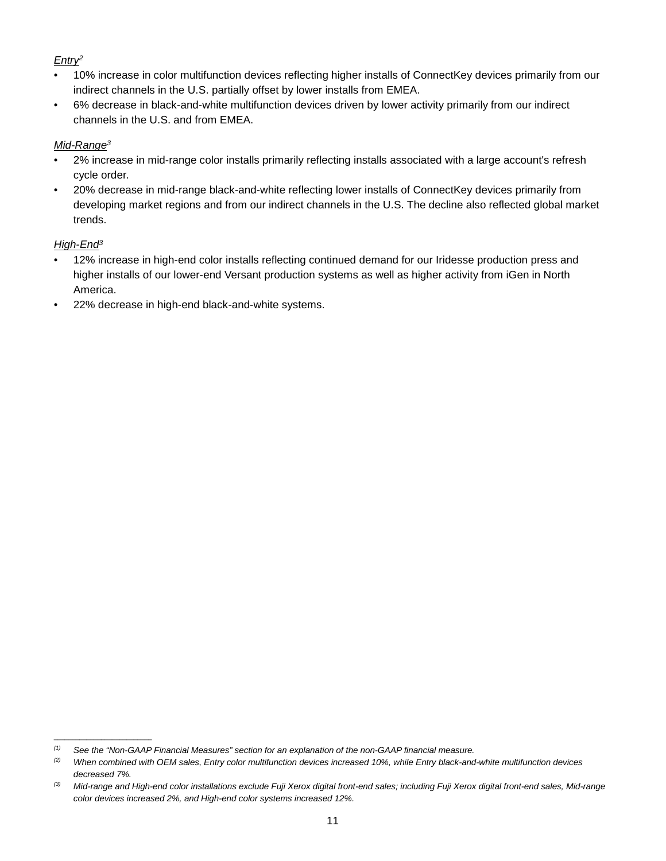### *Entry2*

- 10% increase in color multifunction devices reflecting higher installs of ConnectKey devices primarily from our indirect channels in the U.S. partially offset by lower installs from EMEA.
- 6% decrease in black-and-white multifunction devices driven by lower activity primarily from our indirect channels in the U.S. and from EMEA.

### *Mid-Range3*

- 2% increase in mid-range color installs primarily reflecting installs associated with a large account's refresh cycle order.
- 20% decrease in mid-range black-and-white reflecting lower installs of ConnectKey devices primarily from developing market regions and from our indirect channels in the U.S. The decline also reflected global market trends.

### *High-End3*

\_\_\_\_\_\_\_\_\_\_\_\_\_\_\_\_\_\_\_\_\_\_\_\_\_\_\_

- 12% increase in high-end color installs reflecting continued demand for our Iridesse production press and higher installs of our lower-end Versant production systems as well as higher activity from iGen in North America.
- 22% decrease in high-end black-and-white systems.

*<sup>(1)</sup> See the "Non-GAAP Financial Measures" section for an explanation of the non-GAAP financial measure.*

*<sup>(2)</sup> When combined with OEM sales, Entry color multifunction devices increased 10%, while Entry black-and-white multifunction devices decreased 7%.*

*<sup>(3)</sup> Mid-range and High-end color installations exclude Fuji Xerox digital front-end sales; including Fuji Xerox digital front-end sales, Mid-range color devices increased 2%, and High-end color systems increased 12%.*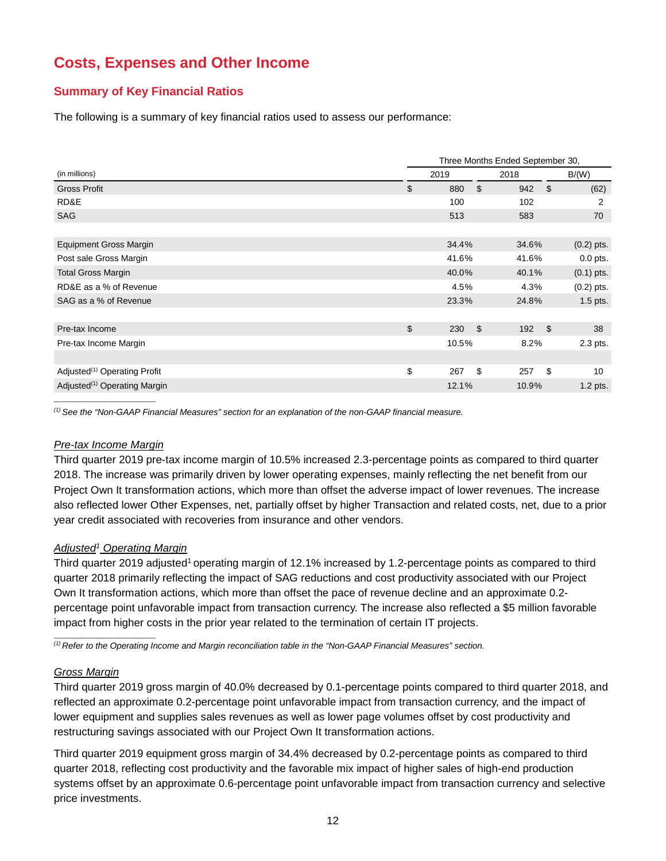## **Costs, Expenses and Other Income**

### **Summary of Key Financial Ratios**

The following is a summary of key financial ratios used to assess our performance:

|                                          | Three Months Ended September 30, |       |           |    |              |  |
|------------------------------------------|----------------------------------|-------|-----------|----|--------------|--|
| (in millions)                            |                                  | 2019  | 2018      |    | B/(W)        |  |
| <b>Gross Profit</b>                      | \$                               | 880   | \$<br>942 | \$ | (62)         |  |
| RD&E                                     |                                  | 100   | 102       |    | 2            |  |
| <b>SAG</b>                               |                                  | 513   | 583       |    | 70           |  |
|                                          |                                  |       |           |    |              |  |
| Equipment Gross Margin                   |                                  | 34.4% | 34.6%     |    | $(0.2)$ pts. |  |
| Post sale Gross Margin                   |                                  | 41.6% | 41.6%     |    | $0.0$ pts.   |  |
| <b>Total Gross Margin</b>                |                                  | 40.0% | 40.1%     |    | $(0.1)$ pts. |  |
| RD&E as a % of Revenue                   |                                  | 4.5%  | 4.3%      |    | $(0.2)$ pts. |  |
| SAG as a % of Revenue                    |                                  | 23.3% | 24.8%     |    | $1.5$ pts.   |  |
|                                          |                                  |       |           |    |              |  |
| Pre-tax Income                           | \$                               | 230   | \$<br>192 | \$ | 38           |  |
| Pre-tax Income Margin                    |                                  | 10.5% | 8.2%      |    | 2.3 pts.     |  |
|                                          |                                  |       |           |    |              |  |
| Adjusted <sup>(1)</sup> Operating Profit | \$                               | 267   | \$<br>257 | \$ | 10           |  |
| Adjusted <sup>(1)</sup> Operating Margin |                                  | 12.1% | 10.9%     |    | 1.2 pts.     |  |

*(1) See the "Non-GAAP Financial Measures" section for an explanation of the non-GAAP financial measure.*

#### *Pre-tax Income Margin*

\_\_\_\_\_\_\_\_\_\_\_\_\_\_\_\_\_\_\_\_\_\_\_\_\_\_\_\_

Third quarter 2019 pre-tax income margin of 10.5% increased 2.3-percentage points as compared to third quarter 2018. The increase was primarily driven by lower operating expenses, mainly reflecting the net benefit from our Project Own It transformation actions, which more than offset the adverse impact of lower revenues. The increase also reflected lower Other Expenses, net, partially offset by higher Transaction and related costs, net, due to a prior year credit associated with recoveries from insurance and other vendors.

### *Adjusted1 Operating Margin*

Third quarter 2019 adjusted<sup>1</sup> operating margin of 12.1% increased by 1.2-percentage points as compared to third quarter 2018 primarily reflecting the impact of SAG reductions and cost productivity associated with our Project Own It transformation actions, which more than offset the pace of revenue decline and an approximate 0.2 percentage point unfavorable impact from transaction currency. The increase also reflected a \$5 million favorable impact from higher costs in the prior year related to the termination of certain IT projects.

*(1) Refer to the Operating Income and Margin reconciliation table in the "Non-GAAP Financial Measures" section.*

#### *Gross Margin*

\_\_\_\_\_\_\_\_\_\_\_\_\_\_\_\_\_\_\_\_\_\_\_\_\_\_\_\_

Third quarter 2019 gross margin of 40.0% decreased by 0.1-percentage points compared to third quarter 2018, and reflected an approximate 0.2-percentage point unfavorable impact from transaction currency, and the impact of lower equipment and supplies sales revenues as well as lower page volumes offset by cost productivity and restructuring savings associated with our Project Own It transformation actions.

Third quarter 2019 equipment gross margin of 34.4% decreased by 0.2-percentage points as compared to third quarter 2018, reflecting cost productivity and the favorable mix impact of higher sales of high-end production systems offset by an approximate 0.6-percentage point unfavorable impact from transaction currency and selective price investments.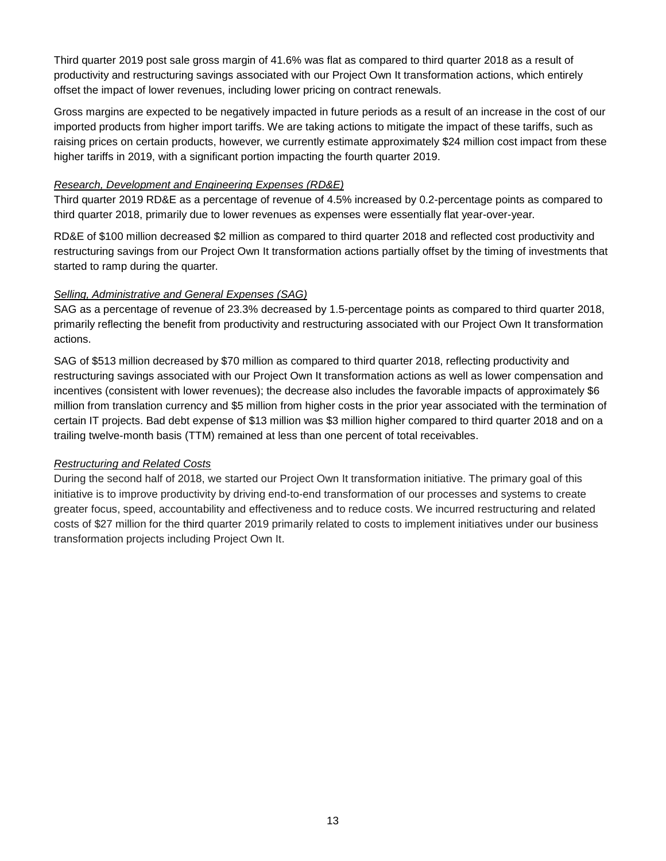Third quarter 2019 post sale gross margin of 41.6% was flat as compared to third quarter 2018 as a result of productivity and restructuring savings associated with our Project Own It transformation actions, which entirely offset the impact of lower revenues, including lower pricing on contract renewals.

Gross margins are expected to be negatively impacted in future periods as a result of an increase in the cost of our imported products from higher import tariffs. We are taking actions to mitigate the impact of these tariffs, such as raising prices on certain products, however, we currently estimate approximately \$24 million cost impact from these higher tariffs in 2019, with a significant portion impacting the fourth quarter 2019.

### *Research, Development and Engineering Expenses (RD&E)*

Third quarter 2019 RD&E as a percentage of revenue of 4.5% increased by 0.2-percentage points as compared to third quarter 2018, primarily due to lower revenues as expenses were essentially flat year-over-year.

RD&E of \$100 million decreased \$2 million as compared to third quarter 2018 and reflected cost productivity and restructuring savings from our Project Own It transformation actions partially offset by the timing of investments that started to ramp during the quarter.

### *Selling, Administrative and General Expenses (SAG)*

SAG as a percentage of revenue of 23.3% decreased by 1.5-percentage points as compared to third quarter 2018, primarily reflecting the benefit from productivity and restructuring associated with our Project Own It transformation actions.

SAG of \$513 million decreased by \$70 million as compared to third quarter 2018, reflecting productivity and restructuring savings associated with our Project Own It transformation actions as well as lower compensation and incentives (consistent with lower revenues); the decrease also includes the favorable impacts of approximately \$6 million from translation currency and \$5 million from higher costs in the prior year associated with the termination of certain IT projects. Bad debt expense of \$13 million was \$3 million higher compared to third quarter 2018 and on a trailing twelve-month basis (TTM) remained at less than one percent of total receivables.

### *Restructuring and Related Costs*

During the second half of 2018, we started our Project Own It transformation initiative. The primary goal of this initiative is to improve productivity by driving end-to-end transformation of our processes and systems to create greater focus, speed, accountability and effectiveness and to reduce costs. We incurred restructuring and related costs of \$27 million for the third quarter 2019 primarily related to costs to implement initiatives under our business transformation projects including Project Own It.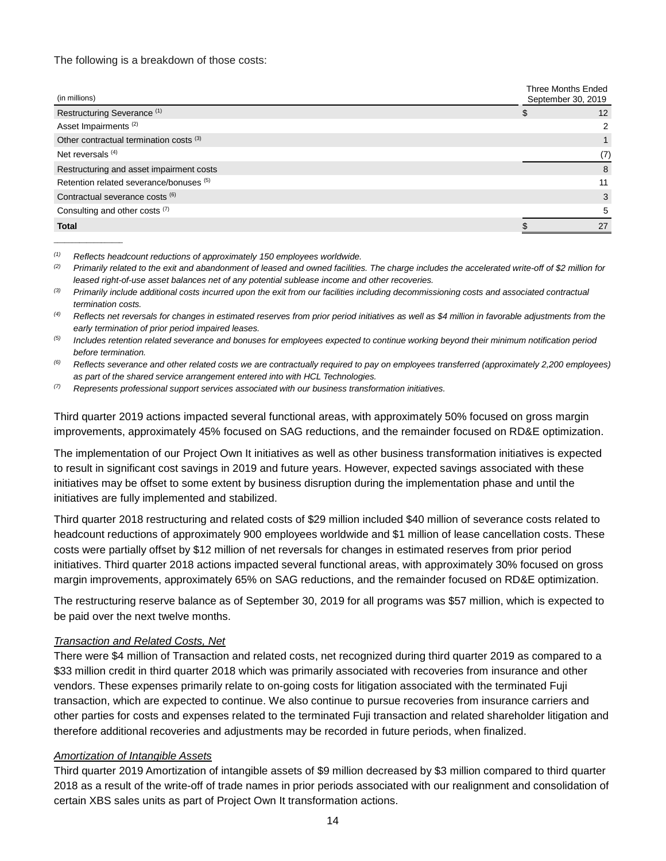The following is a breakdown of those costs:

\_\_\_\_\_\_\_\_\_\_\_\_\_\_\_\_\_\_\_

| (in millions)                            | <b>Three Months Ended</b><br>September 30, 2019 |
|------------------------------------------|-------------------------------------------------|
| Restructuring Severance <sup>(1)</sup>   | 12                                              |
| Asset Impairments <sup>(2)</sup>         | 2                                               |
| Other contractual termination costs (3)  |                                                 |
| Net reversals $(4)$                      | (7)                                             |
| Restructuring and asset impairment costs | 8                                               |
| Retention related severance/bonuses (5)  | 11                                              |
| Contractual severance costs (6)          | 3                                               |
| Consulting and other costs (7)           | 5                                               |
| <b>Total</b>                             | 27                                              |

*(1) Reflects headcount reductions of approximately 150 employees worldwide.*

*(2) Primarily related to the exit and abandonment of leased and owned facilities. The charge includes the accelerated write-off of \$2 million for leased right-of-use asset balances net of any potential sublease income and other recoveries.*

*(3) Primarily include additional costs incurred upon the exit from our facilities including decommissioning costs and associated contractual termination costs.*

*(4) Reflects net reversals for changes in estimated reserves from prior period initiatives as well as \$4 million in favorable adjustments from the early termination of prior period impaired leases.*

*(5) Includes retention related severance and bonuses for employees expected to continue working beyond their minimum notification period before termination.*

*(6) Reflects severance and other related costs we are contractually required to pay on employees transferred (approximately 2,200 employees) as part of the shared service arrangement entered into with HCL Technologies.*

*(7) Represents professional support services associated with our business transformation initiatives.*

Third quarter 2019 actions impacted several functional areas, with approximately 50% focused on gross margin improvements, approximately 45% focused on SAG reductions, and the remainder focused on RD&E optimization.

The implementation of our Project Own It initiatives as well as other business transformation initiatives is expected to result in significant cost savings in 2019 and future years. However, expected savings associated with these initiatives may be offset to some extent by business disruption during the implementation phase and until the initiatives are fully implemented and stabilized.

Third quarter 2018 restructuring and related costs of \$29 million included \$40 million of severance costs related to headcount reductions of approximately 900 employees worldwide and \$1 million of lease cancellation costs. These costs were partially offset by \$12 million of net reversals for changes in estimated reserves from prior period initiatives. Third quarter 2018 actions impacted several functional areas, with approximately 30% focused on gross margin improvements, approximately 65% on SAG reductions, and the remainder focused on RD&E optimization.

The restructuring reserve balance as of September 30, 2019 for all programs was \$57 million, which is expected to be paid over the next twelve months.

#### *Transaction and Related Costs, Net*

There were \$4 million of Transaction and related costs, net recognized during third quarter 2019 as compared to a \$33 million credit in third quarter 2018 which was primarily associated with recoveries from insurance and other vendors. These expenses primarily relate to on-going costs for litigation associated with the terminated Fuji transaction, which are expected to continue. We also continue to pursue recoveries from insurance carriers and other parties for costs and expenses related to the terminated Fuji transaction and related shareholder litigation and therefore additional recoveries and adjustments may be recorded in future periods, when finalized.

#### *Amortization of Intangible Assets*

Third quarter 2019 Amortization of intangible assets of \$9 million decreased by \$3 million compared to third quarter 2018 as a result of the write-off of trade names in prior periods associated with our realignment and consolidation of certain XBS sales units as part of Project Own It transformation actions.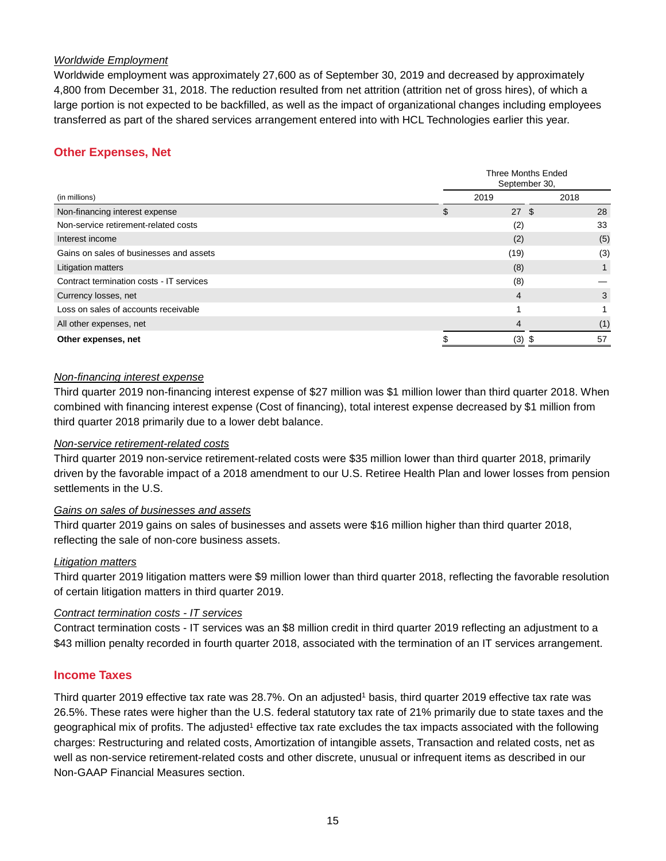### *Worldwide Employment*

Worldwide employment was approximately 27,600 as of September 30, 2019 and decreased by approximately 4,800 from December 31, 2018. The reduction resulted from net attrition (attrition net of gross hires), of which a large portion is not expected to be backfilled, as well as the impact of organizational changes including employees transferred as part of the shared services arrangement entered into with HCL Technologies earlier this year.

### **Other Expenses, Net**

|                                          | Three Months Ended<br>September 30, |      |  |  |  |  |  |
|------------------------------------------|-------------------------------------|------|--|--|--|--|--|
| (in millions)                            | 2019                                | 2018 |  |  |  |  |  |
| Non-financing interest expense           | 27S<br>\$                           | 28   |  |  |  |  |  |
| Non-service retirement-related costs     | (2)                                 | 33   |  |  |  |  |  |
| Interest income                          | (2)                                 | (5)  |  |  |  |  |  |
| Gains on sales of businesses and assets  | (19)                                | (3)  |  |  |  |  |  |
| Litigation matters                       | (8)                                 |      |  |  |  |  |  |
| Contract termination costs - IT services | (8)                                 |      |  |  |  |  |  |
| Currency losses, net                     | 4                                   | 3    |  |  |  |  |  |
| Loss on sales of accounts receivable     |                                     |      |  |  |  |  |  |
| All other expenses, net                  | 4                                   | (1)  |  |  |  |  |  |
| Other expenses, net                      | (3)                                 | 57   |  |  |  |  |  |

### *Non-financing interest expense*

Third quarter 2019 non-financing interest expense of \$27 million was \$1 million lower than third quarter 2018. When combined with financing interest expense (Cost of financing), total interest expense decreased by \$1 million from third quarter 2018 primarily due to a lower debt balance.

### *Non-service retirement-related costs*

Third quarter 2019 non-service retirement-related costs were \$35 million lower than third quarter 2018, primarily driven by the favorable impact of a 2018 amendment to our U.S. Retiree Health Plan and lower losses from pension settlements in the U.S.

#### *Gains on sales of businesses and assets*

Third quarter 2019 gains on sales of businesses and assets were \$16 million higher than third quarter 2018, reflecting the sale of non-core business assets.

#### *Litigation matters*

Third quarter 2019 litigation matters were \$9 million lower than third quarter 2018, reflecting the favorable resolution of certain litigation matters in third quarter 2019.

#### *Contract termination costs - IT services*

Contract termination costs - IT services was an \$8 million credit in third quarter 2019 reflecting an adjustment to a \$43 million penalty recorded in fourth quarter 2018, associated with the termination of an IT services arrangement.

### **Income Taxes**

Third quarter 2019 effective tax rate was 28.7%. On an adjusted<sup>1</sup> basis, third quarter 2019 effective tax rate was 26.5%. These rates were higher than the U.S. federal statutory tax rate of 21% primarily due to state taxes and the geographical mix of profits. The adjusted<sup>1</sup> effective tax rate excludes the tax impacts associated with the following charges: Restructuring and related costs, Amortization of intangible assets, Transaction and related costs, net as well as non-service retirement-related costs and other discrete, unusual or infrequent items as described in our Non-GAAP Financial Measures section.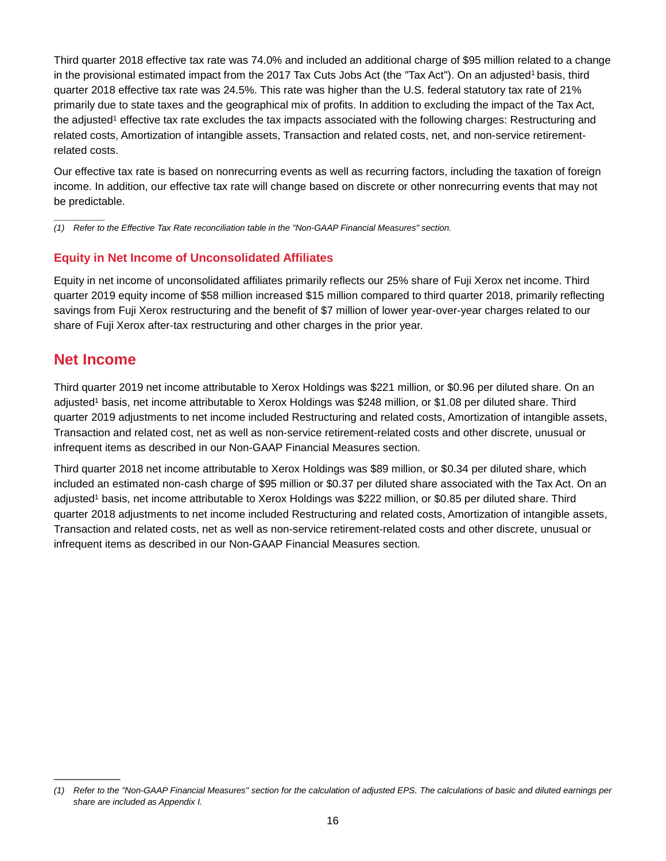Third quarter 2018 effective tax rate was 74.0% and included an additional charge of \$95 million related to a change in the provisional estimated impact from the 2017 Tax Cuts Jobs Act (the "Tax Act"). On an adjusted<sup>1</sup> basis, third quarter 2018 effective tax rate was 24.5%. This rate was higher than the U.S. federal statutory tax rate of 21% primarily due to state taxes and the geographical mix of profits. In addition to excluding the impact of the Tax Act, the adjusted<sup>1</sup> effective tax rate excludes the tax impacts associated with the following charges: Restructuring and related costs, Amortization of intangible assets, Transaction and related costs, net, and non-service retirementrelated costs.

Our effective tax rate is based on nonrecurring events as well as recurring factors, including the taxation of foreign income. In addition, our effective tax rate will change based on discrete or other nonrecurring events that may not be predictable.

\_\_\_\_\_\_\_\_\_\_\_\_\_\_ *(1) Refer to the Effective Tax Rate reconciliation table in the "Non-GAAP Financial Measures" section.*

### **Equity in Net Income of Unconsolidated Affiliates**

Equity in net income of unconsolidated affiliates primarily reflects our 25% share of Fuji Xerox net income. Third quarter 2019 equity income of \$58 million increased \$15 million compared to third quarter 2018, primarily reflecting savings from Fuji Xerox restructuring and the benefit of \$7 million of lower year-over-year charges related to our share of Fuji Xerox after-tax restructuring and other charges in the prior year.

## **Net Income**

\_\_\_\_\_\_\_\_\_\_\_

Third quarter 2019 net income attributable to Xerox Holdings was \$221 million, or \$0.96 per diluted share. On an adjusted<sup>1</sup> basis, net income attributable to Xerox Holdings was \$248 million, or \$1.08 per diluted share. Third quarter 2019 adjustments to net income included Restructuring and related costs, Amortization of intangible assets, Transaction and related cost, net as well as non-service retirement-related costs and other discrete, unusual or infrequent items as described in our Non-GAAP Financial Measures section.

Third quarter 2018 net income attributable to Xerox Holdings was \$89 million, or \$0.34 per diluted share, which included an estimated non-cash charge of \$95 million or \$0.37 per diluted share associated with the Tax Act. On an adjusted<sup>1</sup> basis, net income attributable to Xerox Holdings was \$222 million, or \$0.85 per diluted share. Third quarter 2018 adjustments to net income included Restructuring and related costs, Amortization of intangible assets, Transaction and related costs, net as well as non-service retirement-related costs and other discrete, unusual or infrequent items as described in our Non-GAAP Financial Measures section.

*<sup>(1)</sup> Refer to the "Non-GAAP Financial Measures" section for the calculation of adjusted EPS. The calculations of basic and diluted earnings per share are included as Appendix I.*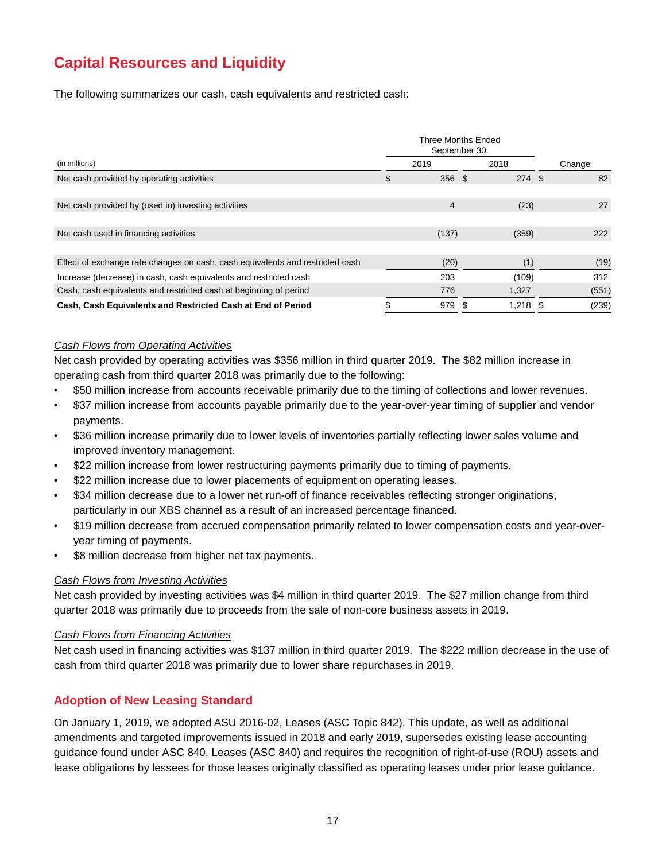## **Capital Resources and Liquidity**

The following summarizes our cash, cash equivalents and restricted cash:

|                                                                               | Three Months Ended<br>September 30, |                  |      |       |               |
|-------------------------------------------------------------------------------|-------------------------------------|------------------|------|-------|---------------|
| (in millions)                                                                 |                                     | 2019             | 2018 |       | Change        |
| Net cash provided by operating activities                                     | \$                                  | 356 <sup>5</sup> |      | 274S  | 82            |
|                                                                               |                                     |                  |      |       |               |
| Net cash provided by (used in) investing activities                           |                                     | 4                |      | (23)  | 27            |
|                                                                               |                                     |                  |      |       |               |
| Net cash used in financing activities                                         |                                     | (137)            |      | (359) | 222           |
|                                                                               |                                     |                  |      |       |               |
| Effect of exchange rate changes on cash, cash equivalents and restricted cash |                                     | (20)             |      | (1)   | (19)          |
| Increase (decrease) in cash, cash equivalents and restricted cash             |                                     | 203              |      | (109) | 312           |
| Cash, cash equivalents and restricted cash at beginning of period             |                                     | 776              |      | 1,327 | (551)         |
| Cash, Cash Equivalents and Restricted Cash at End of Period                   |                                     | 979              | \$.  | 1,218 | (239)<br>- \$ |

#### *Cash Flows from Operating Activities*

Net cash provided by operating activities was \$356 million in third quarter 2019. The \$82 million increase in operating cash from third quarter 2018 was primarily due to the following:

- \$50 million increase from accounts receivable primarily due to the timing of collections and lower revenues.
- \$37 million increase from accounts payable primarily due to the year-over-year timing of supplier and vendor payments.
- \$36 million increase primarily due to lower levels of inventories partially reflecting lower sales volume and improved inventory management.
- \$22 million increase from lower restructuring payments primarily due to timing of payments.
- \$22 million increase due to lower placements of equipment on operating leases.
- \$34 million decrease due to a lower net run-off of finance receivables reflecting stronger originations, particularly in our XBS channel as a result of an increased percentage financed.
- \$19 million decrease from accrued compensation primarily related to lower compensation costs and year-overyear timing of payments.
- \$8 million decrease from higher net tax payments.

### *Cash Flows from Investing Activities*

Net cash provided by investing activities was \$4 million in third quarter 2019. The \$27 million change from third quarter 2018 was primarily due to proceeds from the sale of non-core business assets in 2019.

#### *Cash Flows from Financing Activities*

Net cash used in financing activities was \$137 million in third quarter 2019. The \$222 million decrease in the use of cash from third quarter 2018 was primarily due to lower share repurchases in 2019.

### **Adoption of New Leasing Standard**

On January 1, 2019, we adopted ASU 2016-02, Leases (ASC Topic 842). This update, as well as additional amendments and targeted improvements issued in 2018 and early 2019, supersedes existing lease accounting guidance found under ASC 840, Leases (ASC 840) and requires the recognition of right-of-use (ROU) assets and lease obligations by lessees for those leases originally classified as operating leases under prior lease guidance.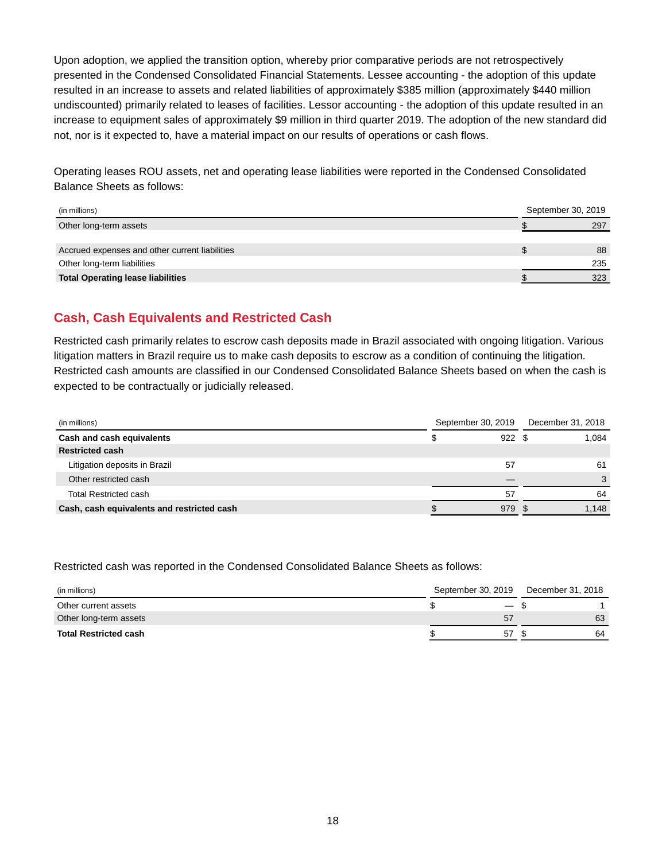Upon adoption, we applied the transition option, whereby prior comparative periods are not retrospectively presented in the Condensed Consolidated Financial Statements. Lessee accounting - the adoption of this update resulted in an increase to assets and related liabilities of approximately \$385 million (approximately \$440 million undiscounted) primarily related to leases of facilities. Lessor accounting - the adoption of this update resulted in an increase to equipment sales of approximately \$9 million in third quarter 2019. The adoption of the new standard did not, nor is it expected to, have a material impact on our results of operations or cash flows.

Operating leases ROU assets, net and operating lease liabilities were reported in the Condensed Consolidated Balance Sheets as follows:

| (in millions)                                  | September 30, 2019 |  |  |
|------------------------------------------------|--------------------|--|--|
| Other long-term assets                         | 297                |  |  |
|                                                |                    |  |  |
| Accrued expenses and other current liabilities | 88                 |  |  |
| Other long-term liabilities                    | 235                |  |  |
| <b>Total Operating lease liabilities</b>       | 323                |  |  |

### **Cash, Cash Equivalents and Restricted Cash**

Restricted cash primarily relates to escrow cash deposits made in Brazil associated with ongoing litigation. Various litigation matters in Brazil require us to make cash deposits to escrow as a condition of continuing the litigation. Restricted cash amounts are classified in our Condensed Consolidated Balance Sheets based on when the cash is expected to be contractually or judicially released.

| (in millions)                              | September 30, 2019 |                  | December 31, 2018 |       |
|--------------------------------------------|--------------------|------------------|-------------------|-------|
| Cash and cash equivalents                  |                    | $922 \text{ } $$ |                   | 1.084 |
| <b>Restricted cash</b>                     |                    |                  |                   |       |
| Litigation deposits in Brazil              |                    | 57               |                   | 61    |
| Other restricted cash                      |                    |                  |                   | 3     |
| <b>Total Restricted cash</b>               |                    | 57               |                   | 64    |
| Cash, cash equivalents and restricted cash |                    | 979              |                   | 1.148 |
|                                            |                    |                  |                   |       |

Restricted cash was reported in the Condensed Consolidated Balance Sheets as follows:

| (in millions)                | September 30, 2019 | December 31, 2018        |    |  |
|------------------------------|--------------------|--------------------------|----|--|
| Other current assets         |                    | $\overline{\phantom{m}}$ |    |  |
| Other long-term assets       |                    |                          | 63 |  |
| <b>Total Restricted cash</b> |                    | 57                       | 64 |  |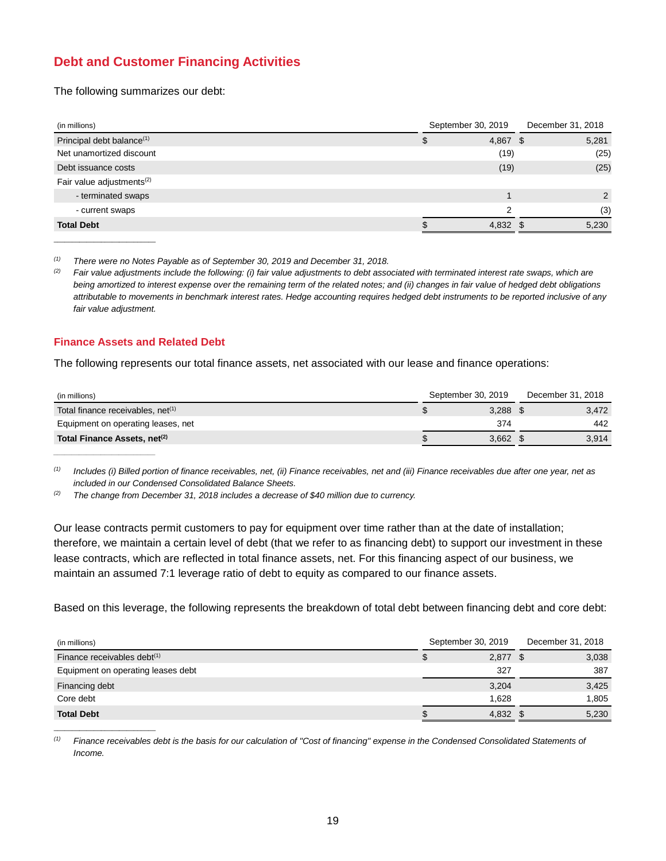## **Debt and Customer Financing Activities**

The following summarizes our debt:

| (in millions)                         |    | September 30, 2019 | December 31, 2018 |
|---------------------------------------|----|--------------------|-------------------|
| Principal debt balance <sup>(1)</sup> | P. | 4,867 \$           | 5,281             |
| Net unamortized discount              |    | (19)               | (25)              |
| Debt issuance costs                   |    | (19)               | (25)              |
| Fair value adjustments <sup>(2)</sup> |    |                    |                   |
| - terminated swaps                    |    |                    | $\mathcal{P}$     |
| - current swaps                       |    |                    | (3)               |
| <b>Total Debt</b>                     |    | 4,832 \$           | 5,230             |

*<sup>(1)</sup> There were no Notes Payable as of September 30, 2019 and December 31, 2018.*

*(2) Fair value adjustments include the following: (i) fair value adjustments to debt associated with terminated interest rate swaps, which are being amortized to interest expense over the remaining term of the related notes; and (ii) changes in fair value of hedged debt obligations attributable to movements in benchmark interest rates. Hedge accounting requires hedged debt instruments to be reported inclusive of any fair value adjustment.*

### **Finance Assets and Related Debt**

\_\_\_\_\_\_\_\_\_\_\_\_\_\_\_\_\_\_\_\_\_\_\_\_\_\_\_\_

*\_\_\_\_\_\_\_\_\_\_\_\_\_\_\_\_\_\_\_\_\_\_\_\_\_\_\_\_*

\_\_\_\_\_\_\_\_\_\_\_\_\_\_\_\_\_\_\_\_\_\_\_\_\_\_\_\_

The following represents our total finance assets, net associated with our lease and finance operations:

| (in millions)                                 | September 30, 2019 | December 31, 2018 |
|-----------------------------------------------|--------------------|-------------------|
| Total finance receivables, net <sup>(1)</sup> | 3.288              | 3.472             |
| Equipment on operating leases, net            | 374                | 442               |
| Total Finance Assets, net <sup>(2)</sup>      | 3,662              | 3,914             |

*(1) Includes (i) Billed portion of finance receivables, net, (ii) Finance receivables, net and (iii) Finance receivables due after one year, net as included in our Condensed Consolidated Balance Sheets.*

*(2) The change from December 31, 2018 includes a decrease of \$40 million due to currency.*

Our lease contracts permit customers to pay for equipment over time rather than at the date of installation; therefore, we maintain a certain level of debt (that we refer to as financing debt) to support our investment in these lease contracts, which are reflected in total finance assets, net. For this financing aspect of our business, we maintain an assumed 7:1 leverage ratio of debt to equity as compared to our finance assets.

Based on this leverage, the following represents the breakdown of total debt between financing debt and core debt:

| (in millions)                      | September 30, 2019 | December 31, 2018 |
|------------------------------------|--------------------|-------------------|
| Finance receivables debt $(1)$     | $2,877$ \$         | 3,038             |
| Equipment on operating leases debt | 327                | 387               |
| Financing debt                     | 3,204              | 3,425             |
| Core debt                          | 1.628              | 1.805             |
| <b>Total Debt</b>                  | 4,832 \$           | 5,230             |

*(1) Finance receivables debt is the basis for our calculation of "Cost of financing" expense in the Condensed Consolidated Statements of Income.*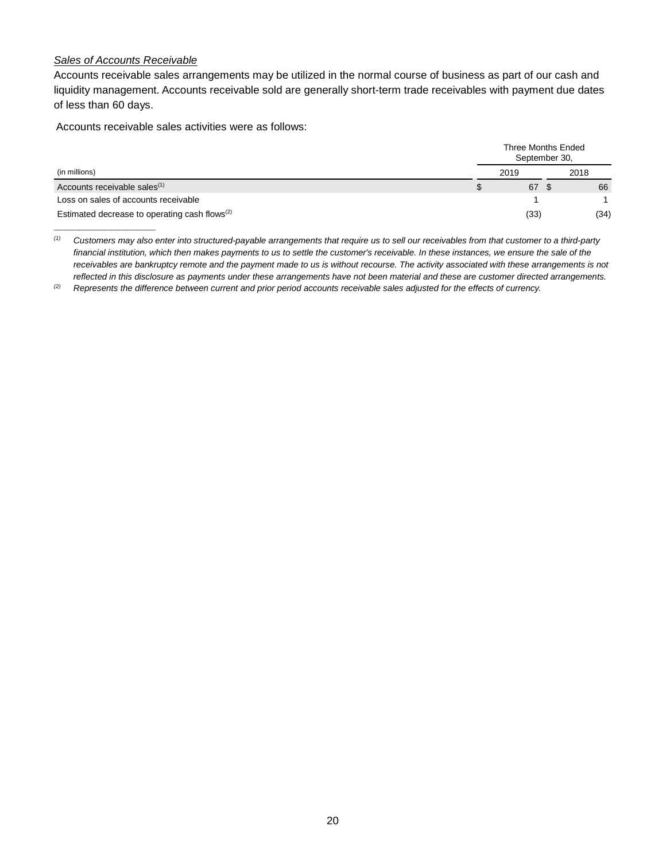### *Sales of Accounts Receivable*

\_\_\_\_\_\_\_\_\_\_\_\_\_\_\_\_\_\_\_\_\_\_\_\_\_\_\_\_

Accounts receivable sales arrangements may be utilized in the normal course of business as part of our cash and liquidity management. Accounts receivable sold are generally short-term trade receivables with payment due dates of less than 60 days.

Accounts receivable sales activities were as follows:

|                                                           |      | September 30, | Three Months Ended |
|-----------------------------------------------------------|------|---------------|--------------------|
| (in millions)                                             | 2019 |               | 2018               |
| Accounts receivable sales <sup>(1)</sup>                  |      | 67            | 66                 |
| Loss on sales of accounts receivable                      |      |               |                    |
| Estimated decrease to operating cash flows <sup>(2)</sup> |      | (33)          | (34)               |

*(1) Customers may also enter into structured-payable arrangements that require us to sell our receivables from that customer to a third-party financial institution, which then makes payments to us to settle the customer's receivable. In these instances, we ensure the sale of the receivables are bankruptcy remote and the payment made to us is without recourse. The activity associated with these arrangements is not reflected in this disclosure as payments under these arrangements have not been material and these are customer directed arrangements.*

*(2) Represents the difference between current and prior period accounts receivable sales adjusted for the effects of currency.*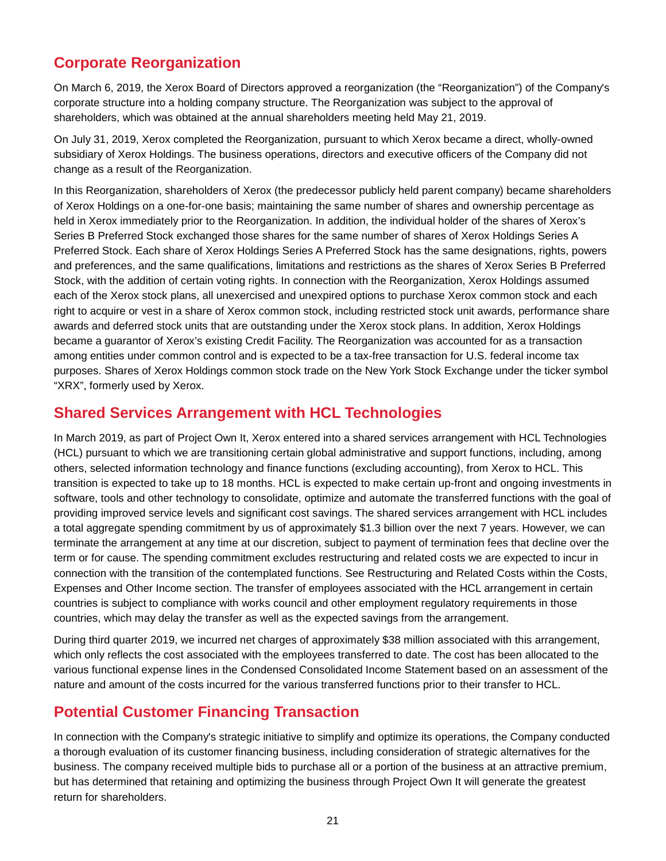## **Corporate Reorganization**

On March 6, 2019, the Xerox Board of Directors approved a reorganization (the "Reorganization") of the Company's corporate structure into a holding company structure. The Reorganization was subject to the approval of shareholders, which was obtained at the annual shareholders meeting held May 21, 2019.

On July 31, 2019, Xerox completed the Reorganization, pursuant to which Xerox became a direct, wholly-owned subsidiary of Xerox Holdings. The business operations, directors and executive officers of the Company did not change as a result of the Reorganization.

In this Reorganization, shareholders of Xerox (the predecessor publicly held parent company) became shareholders of Xerox Holdings on a one-for-one basis; maintaining the same number of shares and ownership percentage as held in Xerox immediately prior to the Reorganization. In addition, the individual holder of the shares of Xerox's Series B Preferred Stock exchanged those shares for the same number of shares of Xerox Holdings Series A Preferred Stock. Each share of Xerox Holdings Series A Preferred Stock has the same designations, rights, powers and preferences, and the same qualifications, limitations and restrictions as the shares of Xerox Series B Preferred Stock, with the addition of certain voting rights. In connection with the Reorganization, Xerox Holdings assumed each of the Xerox stock plans, all unexercised and unexpired options to purchase Xerox common stock and each right to acquire or vest in a share of Xerox common stock, including restricted stock unit awards, performance share awards and deferred stock units that are outstanding under the Xerox stock plans. In addition, Xerox Holdings became a guarantor of Xerox's existing Credit Facility. The Reorganization was accounted for as a transaction among entities under common control and is expected to be a tax-free transaction for U.S. federal income tax purposes. Shares of Xerox Holdings common stock trade on the New York Stock Exchange under the ticker symbol "XRX", formerly used by Xerox.

## **Shared Services Arrangement with HCL Technologies**

In March 2019, as part of Project Own It, Xerox entered into a shared services arrangement with HCL Technologies (HCL) pursuant to which we are transitioning certain global administrative and support functions, including, among others, selected information technology and finance functions (excluding accounting), from Xerox to HCL. This transition is expected to take up to 18 months. HCL is expected to make certain up-front and ongoing investments in software, tools and other technology to consolidate, optimize and automate the transferred functions with the goal of providing improved service levels and significant cost savings. The shared services arrangement with HCL includes a total aggregate spending commitment by us of approximately \$1.3 billion over the next 7 years. However, we can terminate the arrangement at any time at our discretion, subject to payment of termination fees that decline over the term or for cause. The spending commitment excludes restructuring and related costs we are expected to incur in connection with the transition of the contemplated functions. See Restructuring and Related Costs within the Costs, Expenses and Other Income section. The transfer of employees associated with the HCL arrangement in certain countries is subject to compliance with works council and other employment regulatory requirements in those countries, which may delay the transfer as well as the expected savings from the arrangement.

During third quarter 2019, we incurred net charges of approximately \$38 million associated with this arrangement, which only reflects the cost associated with the employees transferred to date. The cost has been allocated to the various functional expense lines in the Condensed Consolidated Income Statement based on an assessment of the nature and amount of the costs incurred for the various transferred functions prior to their transfer to HCL.

## **Potential Customer Financing Transaction**

In connection with the Company's strategic initiative to simplify and optimize its operations, the Company conducted a thorough evaluation of its customer financing business, including consideration of strategic alternatives for the business. The company received multiple bids to purchase all or a portion of the business at an attractive premium, but has determined that retaining and optimizing the business through Project Own It will generate the greatest return for shareholders.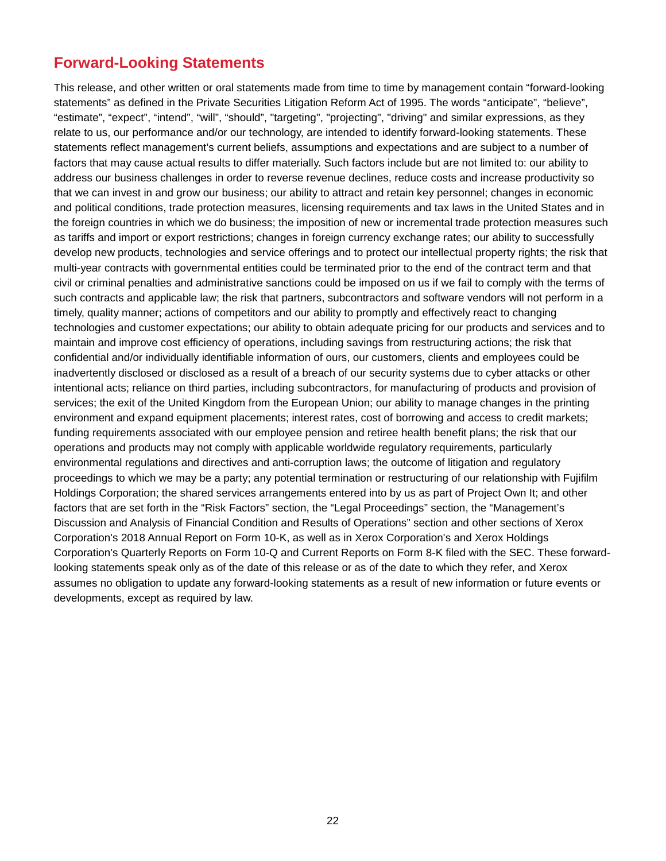## **Forward-Looking Statements**

This release, and other written or oral statements made from time to time by management contain "forward-looking statements" as defined in the Private Securities Litigation Reform Act of 1995. The words "anticipate", "believe", "estimate", "expect", "intend", "will", "should", "targeting", "projecting", "driving" and similar expressions, as they relate to us, our performance and/or our technology, are intended to identify forward-looking statements. These statements reflect management's current beliefs, assumptions and expectations and are subject to a number of factors that may cause actual results to differ materially. Such factors include but are not limited to: our ability to address our business challenges in order to reverse revenue declines, reduce costs and increase productivity so that we can invest in and grow our business; our ability to attract and retain key personnel; changes in economic and political conditions, trade protection measures, licensing requirements and tax laws in the United States and in the foreign countries in which we do business; the imposition of new or incremental trade protection measures such as tariffs and import or export restrictions; changes in foreign currency exchange rates; our ability to successfully develop new products, technologies and service offerings and to protect our intellectual property rights; the risk that multi-year contracts with governmental entities could be terminated prior to the end of the contract term and that civil or criminal penalties and administrative sanctions could be imposed on us if we fail to comply with the terms of such contracts and applicable law; the risk that partners, subcontractors and software vendors will not perform in a timely, quality manner; actions of competitors and our ability to promptly and effectively react to changing technologies and customer expectations; our ability to obtain adequate pricing for our products and services and to maintain and improve cost efficiency of operations, including savings from restructuring actions; the risk that confidential and/or individually identifiable information of ours, our customers, clients and employees could be inadvertently disclosed or disclosed as a result of a breach of our security systems due to cyber attacks or other intentional acts; reliance on third parties, including subcontractors, for manufacturing of products and provision of services; the exit of the United Kingdom from the European Union; our ability to manage changes in the printing environment and expand equipment placements; interest rates, cost of borrowing and access to credit markets; funding requirements associated with our employee pension and retiree health benefit plans; the risk that our operations and products may not comply with applicable worldwide regulatory requirements, particularly environmental regulations and directives and anti-corruption laws; the outcome of litigation and regulatory proceedings to which we may be a party; any potential termination or restructuring of our relationship with Fujifilm Holdings Corporation; the shared services arrangements entered into by us as part of Project Own It; and other factors that are set forth in the "Risk Factors" section, the "Legal Proceedings" section, the "Management's Discussion and Analysis of Financial Condition and Results of Operations" section and other sections of Xerox Corporation's 2018 Annual Report on Form 10-K, as well as in Xerox Corporation's and Xerox Holdings Corporation's Quarterly Reports on Form 10-Q and Current Reports on Form 8-K filed with the SEC. These forwardlooking statements speak only as of the date of this release or as of the date to which they refer, and Xerox assumes no obligation to update any forward-looking statements as a result of new information or future events or developments, except as required by law.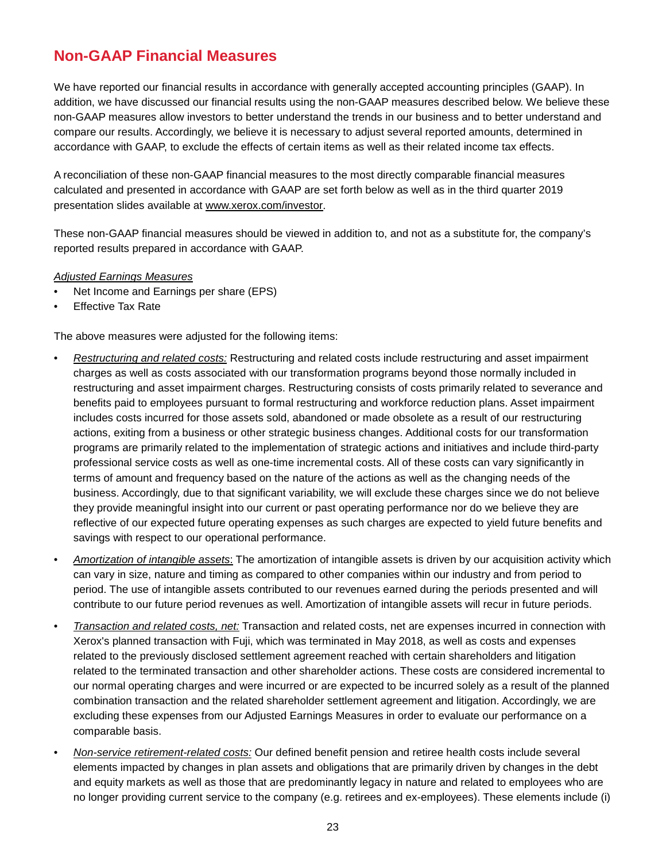## **Non-GAAP Financial Measures**

We have reported our financial results in accordance with generally accepted accounting principles (GAAP). In addition, we have discussed our financial results using the non-GAAP measures described below. We believe these non-GAAP measures allow investors to better understand the trends in our business and to better understand and compare our results. Accordingly, we believe it is necessary to adjust several reported amounts, determined in accordance with GAAP, to exclude the effects of certain items as well as their related income tax effects.

A reconciliation of these non-GAAP financial measures to the most directly comparable financial measures calculated and presented in accordance with GAAP are set forth below as well as in the third quarter 2019 presentation slides available at www.xerox.com/investor.

These non-GAAP financial measures should be viewed in addition to, and not as a substitute for, the company's reported results prepared in accordance with GAAP.

#### *Adjusted Earnings Measures*

- Net Income and Earnings per share (EPS)
- **Effective Tax Rate**

The above measures were adjusted for the following items:

- *Restructuring and related costs:* Restructuring and related costs include restructuring and asset impairment charges as well as costs associated with our transformation programs beyond those normally included in restructuring and asset impairment charges. Restructuring consists of costs primarily related to severance and benefits paid to employees pursuant to formal restructuring and workforce reduction plans. Asset impairment includes costs incurred for those assets sold, abandoned or made obsolete as a result of our restructuring actions, exiting from a business or other strategic business changes. Additional costs for our transformation programs are primarily related to the implementation of strategic actions and initiatives and include third-party professional service costs as well as one-time incremental costs. All of these costs can vary significantly in terms of amount and frequency based on the nature of the actions as well as the changing needs of the business. Accordingly, due to that significant variability, we will exclude these charges since we do not believe they provide meaningful insight into our current or past operating performance nor do we believe they are reflective of our expected future operating expenses as such charges are expected to yield future benefits and savings with respect to our operational performance.
- *Amortization of intangible assets*: The amortization of intangible assets is driven by our acquisition activity which can vary in size, nature and timing as compared to other companies within our industry and from period to period. The use of intangible assets contributed to our revenues earned during the periods presented and will contribute to our future period revenues as well. Amortization of intangible assets will recur in future periods.
- *Transaction and related costs, net:* Transaction and related costs, net are expenses incurred in connection with Xerox's planned transaction with Fuji, which was terminated in May 2018, as well as costs and expenses related to the previously disclosed settlement agreement reached with certain shareholders and litigation related to the terminated transaction and other shareholder actions. These costs are considered incremental to our normal operating charges and were incurred or are expected to be incurred solely as a result of the planned combination transaction and the related shareholder settlement agreement and litigation. Accordingly, we are excluding these expenses from our Adjusted Earnings Measures in order to evaluate our performance on a comparable basis.
- *Non-service retirement-related costs:* Our defined benefit pension and retiree health costs include several elements impacted by changes in plan assets and obligations that are primarily driven by changes in the debt and equity markets as well as those that are predominantly legacy in nature and related to employees who are no longer providing current service to the company (e.g. retirees and ex-employees). These elements include (i)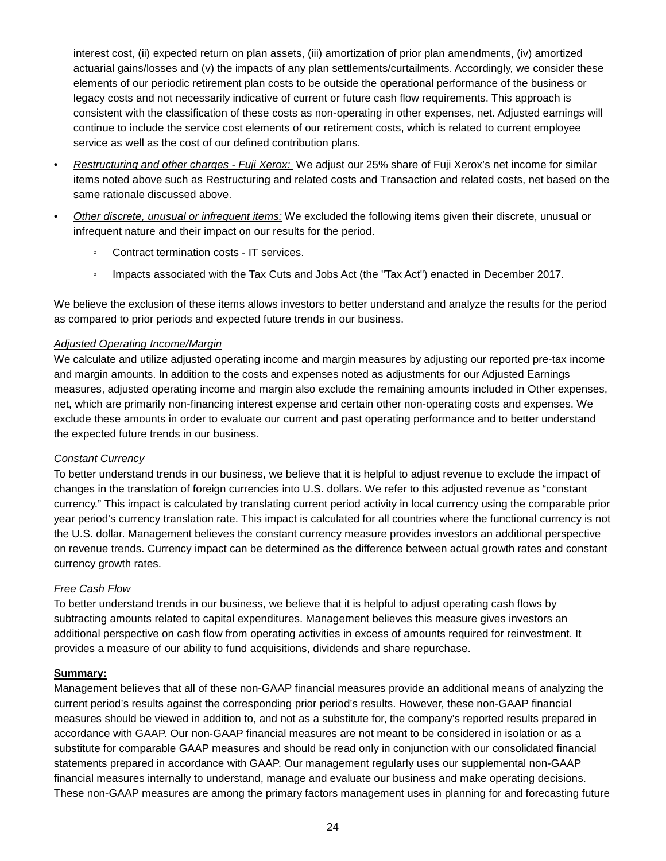interest cost, (ii) expected return on plan assets, (iii) amortization of prior plan amendments, (iv) amortized actuarial gains/losses and (v) the impacts of any plan settlements/curtailments. Accordingly, we consider these elements of our periodic retirement plan costs to be outside the operational performance of the business or legacy costs and not necessarily indicative of current or future cash flow requirements. This approach is consistent with the classification of these costs as non-operating in other expenses, net. Adjusted earnings will continue to include the service cost elements of our retirement costs, which is related to current employee service as well as the cost of our defined contribution plans.

- *Restructuring and other charges - Fuji Xerox:* We adjust our 25% share of Fuji Xerox's net income for similar items noted above such as Restructuring and related costs and Transaction and related costs, net based on the same rationale discussed above.
- *Other discrete, unusual or infrequent items:* We excluded the following items given their discrete, unusual or infrequent nature and their impact on our results for the period.
	- Contract termination costs IT services.
	- Impacts associated with the Tax Cuts and Jobs Act (the "Tax Act") enacted in December 2017.

We believe the exclusion of these items allows investors to better understand and analyze the results for the period as compared to prior periods and expected future trends in our business.

### *Adjusted Operating Income/Margin*

We calculate and utilize adjusted operating income and margin measures by adjusting our reported pre-tax income and margin amounts. In addition to the costs and expenses noted as adjustments for our Adjusted Earnings measures, adjusted operating income and margin also exclude the remaining amounts included in Other expenses, net, which are primarily non-financing interest expense and certain other non-operating costs and expenses. We exclude these amounts in order to evaluate our current and past operating performance and to better understand the expected future trends in our business.

### *Constant Currency*

To better understand trends in our business, we believe that it is helpful to adjust revenue to exclude the impact of changes in the translation of foreign currencies into U.S. dollars. We refer to this adjusted revenue as "constant currency." This impact is calculated by translating current period activity in local currency using the comparable prior year period's currency translation rate. This impact is calculated for all countries where the functional currency is not the U.S. dollar. Management believes the constant currency measure provides investors an additional perspective on revenue trends. Currency impact can be determined as the difference between actual growth rates and constant currency growth rates.

### *Free Cash Flow*

To better understand trends in our business, we believe that it is helpful to adjust operating cash flows by subtracting amounts related to capital expenditures. Management believes this measure gives investors an additional perspective on cash flow from operating activities in excess of amounts required for reinvestment. It provides a measure of our ability to fund acquisitions, dividends and share repurchase.

### **Summary:**

Management believes that all of these non-GAAP financial measures provide an additional means of analyzing the current period's results against the corresponding prior period's results. However, these non-GAAP financial measures should be viewed in addition to, and not as a substitute for, the company's reported results prepared in accordance with GAAP. Our non-GAAP financial measures are not meant to be considered in isolation or as a substitute for comparable GAAP measures and should be read only in conjunction with our consolidated financial statements prepared in accordance with GAAP. Our management regularly uses our supplemental non-GAAP financial measures internally to understand, manage and evaluate our business and make operating decisions. These non-GAAP measures are among the primary factors management uses in planning for and forecasting future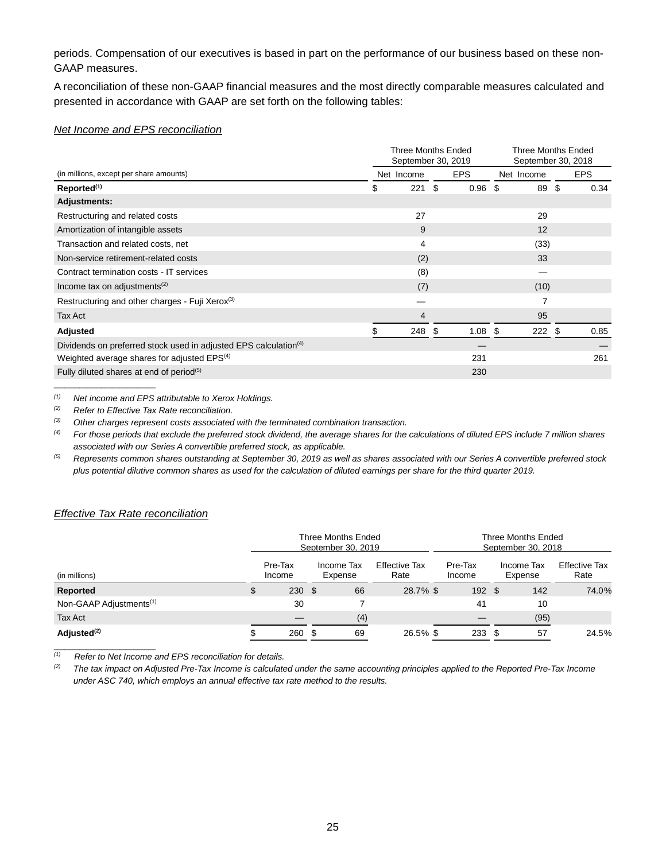periods. Compensation of our executives is based in part on the performance of our business based on these non-GAAP measures.

A reconciliation of these non-GAAP financial measures and the most directly comparable measures calculated and presented in accordance with GAAP are set forth on the following tables:

#### *Net Income and EPS reconciliation*

|                                                                              | Three Months Ended<br>September 30, 2019 |            |     |            | <b>Three Months Ended</b><br>September 30, 2018 |            |    |            |
|------------------------------------------------------------------------------|------------------------------------------|------------|-----|------------|-------------------------------------------------|------------|----|------------|
| (in millions, except per share amounts)                                      |                                          | Net Income |     | <b>EPS</b> |                                                 | Net Income |    | <b>EPS</b> |
| Reported <sup>(1)</sup>                                                      | \$                                       | 221        | \$  | 0.96       | \$                                              | 89         | \$ | 0.34       |
| <b>Adjustments:</b>                                                          |                                          |            |     |            |                                                 |            |    |            |
| Restructuring and related costs                                              |                                          | 27         |     |            |                                                 | 29         |    |            |
| Amortization of intangible assets                                            |                                          | 9          |     |            |                                                 | 12         |    |            |
| Transaction and related costs, net                                           |                                          | 4          |     |            |                                                 | (33)       |    |            |
| Non-service retirement-related costs                                         |                                          | (2)        |     |            |                                                 | 33         |    |            |
| Contract termination costs - IT services                                     |                                          | (8)        |     |            |                                                 |            |    |            |
| Income tax on adjustments $(2)$                                              |                                          | (7)        |     |            |                                                 | (10)       |    |            |
| Restructuring and other charges - Fuji Xerox <sup>(3)</sup>                  |                                          |            |     |            |                                                 | 7          |    |            |
| Tax Act                                                                      |                                          | 4          |     |            |                                                 | 95         |    |            |
| Adjusted                                                                     |                                          | 248        | -\$ | 1.08       | - \$                                            | $222$ \$   |    | 0.85       |
| Dividends on preferred stock used in adjusted EPS calculation <sup>(4)</sup> |                                          |            |     |            |                                                 |            |    |            |
| Weighted average shares for adjusted EPS <sup>(4)</sup>                      |                                          |            |     | 231        |                                                 |            |    | 261        |
| Fully diluted shares at end of period <sup>(5)</sup>                         |                                          |            |     | 230        |                                                 |            |    |            |

*(1) Net income and EPS attributable to Xerox Holdings.*

*(2) Refer to Effective Tax Rate reconciliation.*

\_\_\_\_\_\_\_\_\_\_\_\_\_\_\_\_\_\_\_\_\_\_\_\_\_\_\_\_

*(3) Other charges represent costs associated with the terminated combination transaction.*

*(4) For those periods that exclude the preferred stock dividend, the average shares for the calculations of diluted EPS include 7 million shares associated with our Series A convertible preferred stock, as applicable.*

*(5) Represents common shares outstanding at September 30, 2019 as well as shares associated with our Series A convertible preferred stock plus potential dilutive common shares as used for the calculation of diluted earnings per share for the third quarter 2019.*

### *Effective Tax Rate reconciliation*

|                                     |    |                   |  | Three Months Ended<br>September 30, 2019 |                              | Three Months Ended<br>September 30, 2018 |                       |      |                              |  |  |
|-------------------------------------|----|-------------------|--|------------------------------------------|------------------------------|------------------------------------------|-----------------------|------|------------------------------|--|--|
| (in millions)                       |    | Pre-Tax<br>Income |  | Income Tax<br>Expense                    | <b>Effective Tax</b><br>Rate | Pre-Tax<br>Income                        | Income Tax<br>Expense |      | <b>Effective Tax</b><br>Rate |  |  |
| Reported                            | \$ | $230*$            |  | 66                                       | 28.7% \$                     | 192S                                     |                       | 142  | 74.0%                        |  |  |
| Non-GAAP Adjustments <sup>(1)</sup> |    | 30                |  |                                          |                              | 41                                       |                       | 10   |                              |  |  |
| Tax Act                             |    |                   |  | (4)                                      |                              |                                          |                       | (95) |                              |  |  |
| Adjusted <sup>(2)</sup>             |    | $260*$            |  | 69                                       | 26.5% \$                     | 233                                      |                       | 57   | 24.5%                        |  |  |

\_\_\_\_\_\_\_\_\_\_\_\_\_\_\_\_\_\_\_\_\_\_\_\_\_\_\_\_ *(1) Refer to Net Income and EPS reconciliation for details.*

*(2) The tax impact on Adjusted Pre-Tax Income is calculated under the same accounting principles applied to the Reported Pre-Tax Income under ASC 740, which employs an annual effective tax rate method to the results.*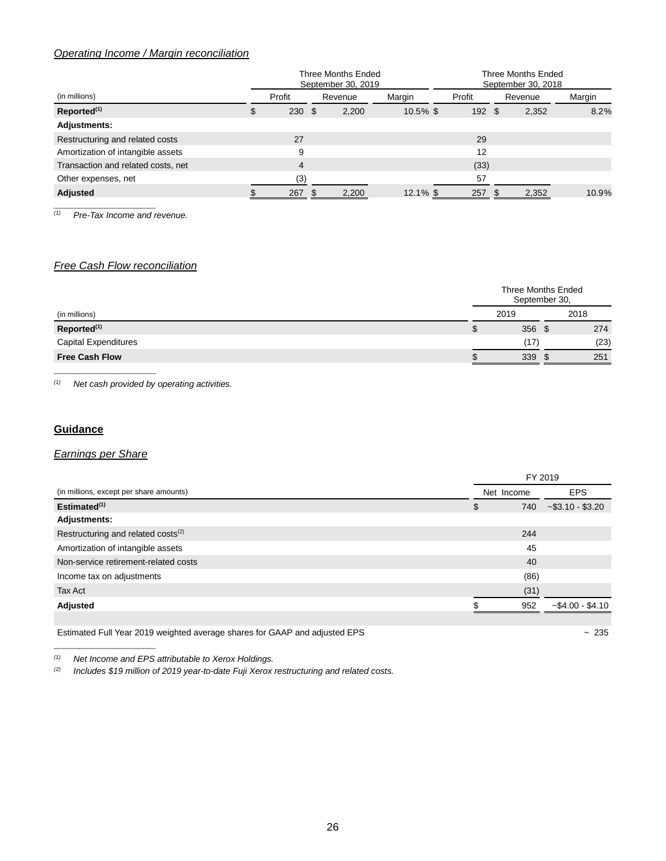### *Operating Income / Margin reconciliation*

|                                    |              | Three Months Ended<br>September 30, 2019 | <b>Three Months Ended</b><br>September 30, 2018 |                  |  |         |        |
|------------------------------------|--------------|------------------------------------------|-------------------------------------------------|------------------|--|---------|--------|
| (in millions)                      | Profit       | Revenue                                  | Margin                                          | Profit           |  | Revenue | Margin |
| Reported <sup>(1)</sup>            | \$<br>$230*$ | 2,200                                    | $10.5\%$ \$                                     | $192 \text{ } $$ |  | 2,352   | 8.2%   |
| <b>Adjustments:</b>                |              |                                          |                                                 |                  |  |         |        |
| Restructuring and related costs    | 27           |                                          |                                                 | 29               |  |         |        |
| Amortization of intangible assets  | 9            |                                          |                                                 | 12               |  |         |        |
| Transaction and related costs, net | 4            |                                          |                                                 | (33)             |  |         |        |
| Other expenses, net                | (3)          |                                          |                                                 | 57               |  |         |        |
| Adjusted                           | 267          | 2,200                                    | $12.1\%$ \$                                     | 257              |  | 2,352   | 10.9%  |

*(1) Pre-Tax Income and revenue.*

\_\_\_\_\_\_\_\_\_\_\_\_\_\_\_\_\_\_\_\_\_\_\_\_\_\_\_\_

### *Free Cash Flow reconciliation*

|                             |   | Three Months Ended<br>September 30, |      |
|-----------------------------|---|-------------------------------------|------|
| (in millions)               |   | 2019                                | 2018 |
| Reported <sup>(1)</sup>     | Ъ | 356                                 | 274  |
| <b>Capital Expenditures</b> |   | (17)                                | (23) |
| <b>Free Cash Flow</b>       |   | 339                                 | 251  |

*(1) Net cash provided by operating activities.*

### **Guidance**

### *Earnings per Share*

\_\_\_\_\_\_\_\_\_\_\_\_\_\_\_\_\_\_\_\_\_\_\_\_\_\_\_\_

|                                                                            |            |            | FY 2019             |  |
|----------------------------------------------------------------------------|------------|------------|---------------------|--|
| (in millions, except per share amounts)                                    | Net Income | <b>EPS</b> |                     |  |
| Estimated $(1)$                                                            | \$         | 740        | $-$ \$3.10 - \$3.20 |  |
| <b>Adjustments:</b>                                                        |            |            |                     |  |
| Restructuring and related costs <sup>(2)</sup>                             |            | 244        |                     |  |
| Amortization of intangible assets                                          |            | 45         |                     |  |
| Non-service retirement-related costs                                       |            | 40         |                     |  |
| Income tax on adjustments                                                  |            | (86)       |                     |  |
| Tax Act                                                                    |            | (31)       |                     |  |
| Adjusted                                                                   |            | 952        | $-$ \$4.00 - \$4.10 |  |
|                                                                            |            |            |                     |  |
| Estimated Full Year 2019 weighted average shares for GAAP and adjusted EPS |            |            | ~1235               |  |

\_\_\_\_\_\_\_\_\_\_\_\_\_\_\_\_\_\_\_\_\_\_\_\_\_\_\_\_

*(1) Net Income and EPS attributable to Xerox Holdings. (2) Includes \$19 million of 2019 year-to-date Fuji Xerox restructuring and related costs.*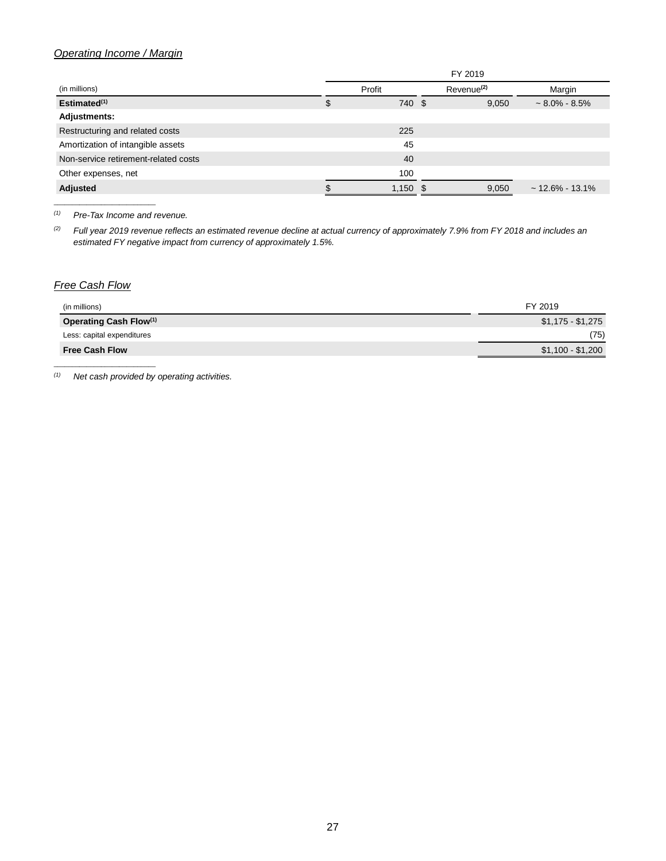### *Operating Income / Margin*

|                                      | FY 2019 |            |  |                        |                      |  |
|--------------------------------------|---------|------------|--|------------------------|----------------------|--|
| (in millions)                        |         | Profit     |  | Revenue <sup>(2)</sup> | Margin               |  |
| Estimated $(1)$                      | J.      | 740 \$     |  | 9,050                  | $~1$ - 8.0% - 8.5%   |  |
| <b>Adjustments:</b>                  |         |            |  |                        |                      |  |
| Restructuring and related costs      |         | 225        |  |                        |                      |  |
| Amortization of intangible assets    |         | 45         |  |                        |                      |  |
| Non-service retirement-related costs |         | 40         |  |                        |                      |  |
| Other expenses, net                  |         | 100        |  |                        |                      |  |
| Adjusted                             |         | $1,150$ \$ |  | 9,050                  | $\sim$ 12.6% - 13.1% |  |

*(1) Pre-Tax Income and revenue.*

\_\_\_\_\_\_\_\_\_\_\_\_\_\_\_\_\_\_\_\_\_\_\_\_\_\_\_\_

*(2) Full year 2019 revenue reflects an estimated revenue decline at actual currency of approximately 7.9% from FY 2018 and includes an estimated FY negative impact from currency of approximately 1.5%.*

### *Free Cash Flow*

\_\_\_\_\_\_\_\_\_\_\_\_\_\_\_\_\_\_\_\_\_\_\_\_\_\_\_\_

| (in millions)                      | FY 2019           |
|------------------------------------|-------------------|
| Operating Cash Flow <sup>(1)</sup> | $$1,175 - $1,275$ |
| Less: capital expenditures         | (75)              |
| <b>Free Cash Flow</b>              | $$1,100 - $1,200$ |

*(1) Net cash provided by operating activities.*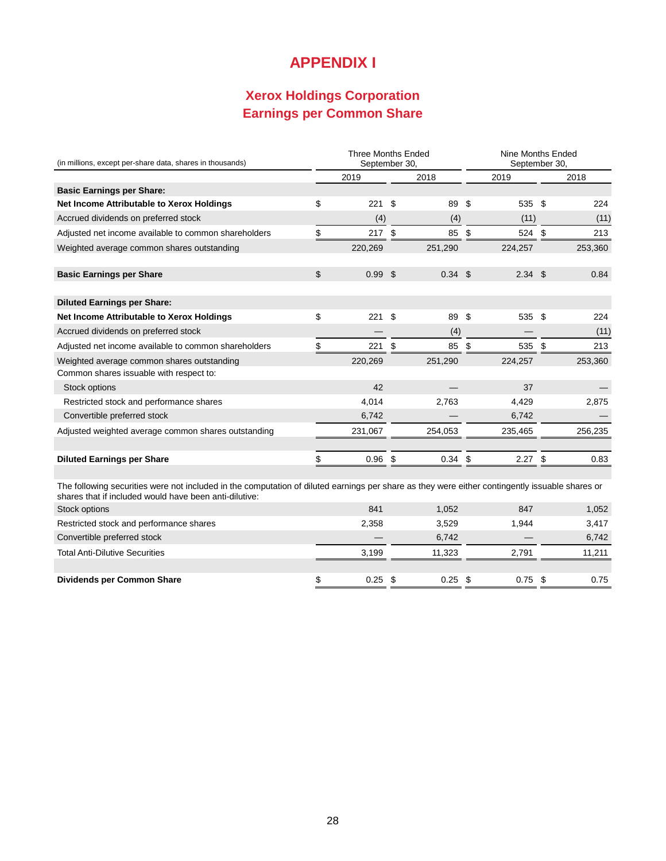## **APPENDIX I**

## **Xerox Holdings Corporation Earnings per Common Share**

| (in millions, except per-share data, shares in thousands)                                                                                                                                                 | Three Months Ended<br>September 30. |           |                         |           | Nine Months Ended<br>September 30. |           |      |         |
|-----------------------------------------------------------------------------------------------------------------------------------------------------------------------------------------------------------|-------------------------------------|-----------|-------------------------|-----------|------------------------------------|-----------|------|---------|
|                                                                                                                                                                                                           |                                     | 2019      |                         | 2018      |                                    | 2019      |      | 2018    |
| <b>Basic Earnings per Share:</b>                                                                                                                                                                          |                                     |           |                         |           |                                    |           |      |         |
| Net Income Attributable to Xerox Holdings                                                                                                                                                                 | \$                                  | 221       | \$                      | 89        | \$                                 | 535 \$    |      | 224     |
| Accrued dividends on preferred stock                                                                                                                                                                      |                                     | (4)       |                         | (4)       |                                    | (11)      |      | (11)    |
| Adjusted net income available to common shareholders                                                                                                                                                      | \$                                  | 217       | $\sqrt[6]{\frac{1}{2}}$ | 85        | $\sqrt[6]{\frac{1}{2}}$            | 524 \$    |      | 213     |
| Weighted average common shares outstanding                                                                                                                                                                |                                     | 220,269   |                         | 251,290   |                                    | 224,257   |      | 253,360 |
| <b>Basic Earnings per Share</b>                                                                                                                                                                           | \$                                  | $0.99$ \$ |                         | $0.34$ \$ |                                    | $2.34$ \$ |      | 0.84    |
| <b>Diluted Earnings per Share:</b>                                                                                                                                                                        |                                     |           |                         |           |                                    |           |      |         |
| Net Income Attributable to Xerox Holdings                                                                                                                                                                 | \$                                  | 221       | \$                      | 89        | \$                                 | 535       | - \$ | 224     |
| Accrued dividends on preferred stock                                                                                                                                                                      |                                     |           |                         | (4)       |                                    |           |      | (11)    |
| Adjusted net income available to common shareholders                                                                                                                                                      | \$                                  | 221       | \$                      | 85        | \$                                 | 535       | \$   | 213     |
| Weighted average common shares outstanding                                                                                                                                                                |                                     | 220,269   |                         | 251,290   |                                    | 224,257   |      | 253,360 |
| Common shares issuable with respect to:                                                                                                                                                                   |                                     |           |                         |           |                                    |           |      |         |
| Stock options                                                                                                                                                                                             |                                     | 42        |                         |           |                                    | 37        |      |         |
| Restricted stock and performance shares                                                                                                                                                                   |                                     | 4,014     |                         | 2,763     |                                    | 4,429     |      | 2,875   |
| Convertible preferred stock                                                                                                                                                                               |                                     | 6,742     |                         |           |                                    | 6,742     |      |         |
| Adjusted weighted average common shares outstanding                                                                                                                                                       |                                     | 231,067   |                         | 254,053   |                                    | 235,465   |      | 256,235 |
| <b>Diluted Earnings per Share</b>                                                                                                                                                                         | \$                                  | 0.96      | \$                      | $0.34$ \$ |                                    | 2.27      | \$   | 0.83    |
|                                                                                                                                                                                                           |                                     |           |                         |           |                                    |           |      |         |
| The following securities were not included in the computation of diluted earnings per share as they were either contingently issuable shares or<br>shares that if included would have been anti-dilutive: |                                     |           |                         |           |                                    |           |      |         |
| Stock options                                                                                                                                                                                             |                                     | 841       |                         | 1,052     |                                    | 847       |      | 1,052   |
| Restricted stock and performance shares                                                                                                                                                                   |                                     | 2,358     |                         | 3,529     |                                    | 1,944     |      | 3,417   |
| Convertible preferred stock                                                                                                                                                                               |                                     |           |                         | 6,742     |                                    |           |      | 6,742   |
| <b>Total Anti-Dilutive Securities</b>                                                                                                                                                                     |                                     | 3,199     |                         | 11,323    |                                    | 2,791     |      | 11,211  |
| Dividends per Common Share                                                                                                                                                                                | \$                                  | 0.25      | \$                      | $0.25$ \$ |                                    | $0.75$ \$ |      | 0.75    |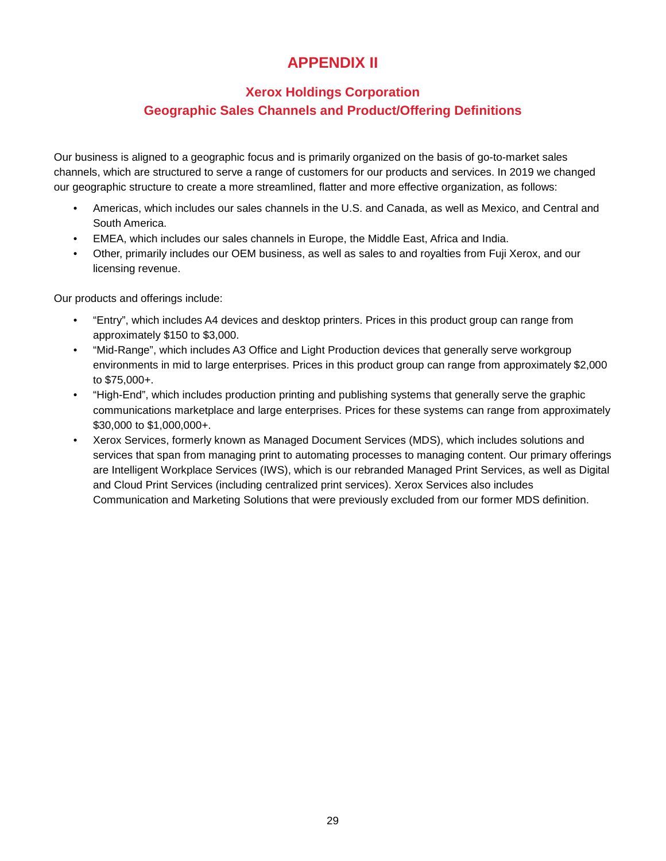## **APPENDIX II**

## **Xerox Holdings Corporation Geographic Sales Channels and Product/Offering Definitions**

Our business is aligned to a geographic focus and is primarily organized on the basis of go-to-market sales channels, which are structured to serve a range of customers for our products and services. In 2019 we changed our geographic structure to create a more streamlined, flatter and more effective organization, as follows:

- Americas, which includes our sales channels in the U.S. and Canada, as well as Mexico, and Central and South America.
- EMEA, which includes our sales channels in Europe, the Middle East, Africa and India.
- Other, primarily includes our OEM business, as well as sales to and royalties from Fuji Xerox, and our licensing revenue.

Our products and offerings include:

- "Entry", which includes A4 devices and desktop printers. Prices in this product group can range from approximately \$150 to \$3,000.
- "Mid-Range", which includes A3 Office and Light Production devices that generally serve workgroup environments in mid to large enterprises. Prices in this product group can range from approximately \$2,000 to \$75,000+.
- "High-End", which includes production printing and publishing systems that generally serve the graphic communications marketplace and large enterprises. Prices for these systems can range from approximately \$30,000 to \$1,000,000+.
- Xerox Services, formerly known as Managed Document Services (MDS), which includes solutions and services that span from managing print to automating processes to managing content. Our primary offerings are Intelligent Workplace Services (IWS), which is our rebranded Managed Print Services, as well as Digital and Cloud Print Services (including centralized print services). Xerox Services also includes Communication and Marketing Solutions that were previously excluded from our former MDS definition.